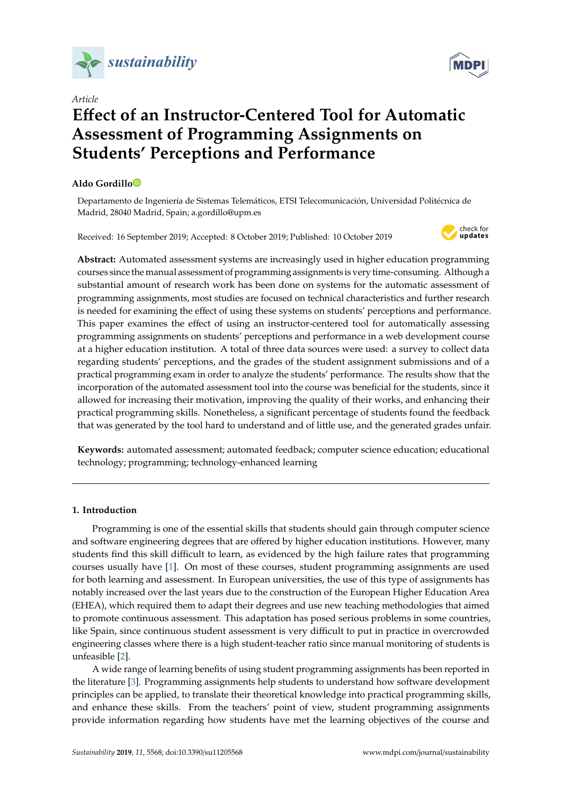

*Article*

# **E**ff**ect of an Instructor-Centered Tool for Automatic Assessment of Programming Assignments on Students' Perceptions and Performance**

# **Aldo Gordill[o](https://orcid.org/0000-0001-9785-4827)**

Departamento de Ingeniería de Sistemas Telemáticos, ETSI Telecomunicación, Universidad Politécnica de Madrid, 28040 Madrid, Spain; a.gordillo@upm.es

Received: 16 September 2019; Accepted: 8 October 2019; Published: 10 October 2019



**Abstract:** Automated assessment systems are increasingly used in higher education programming courses since the manual assessment of programming assignments is very time-consuming. Although a substantial amount of research work has been done on systems for the automatic assessment of programming assignments, most studies are focused on technical characteristics and further research is needed for examining the effect of using these systems on students' perceptions and performance. This paper examines the effect of using an instructor-centered tool for automatically assessing programming assignments on students' perceptions and performance in a web development course at a higher education institution. A total of three data sources were used: a survey to collect data regarding students' perceptions, and the grades of the student assignment submissions and of a practical programming exam in order to analyze the students' performance. The results show that the incorporation of the automated assessment tool into the course was beneficial for the students, since it allowed for increasing their motivation, improving the quality of their works, and enhancing their practical programming skills. Nonetheless, a significant percentage of students found the feedback that was generated by the tool hard to understand and of little use, and the generated grades unfair.

**Keywords:** automated assessment; automated feedback; computer science education; educational technology; programming; technology-enhanced learning

# **1. Introduction**

Programming is one of the essential skills that students should gain through computer science and software engineering degrees that are offered by higher education institutions. However, many students find this skill difficult to learn, as evidenced by the high failure rates that programming courses usually have [\[1\]](#page-21-0). On most of these courses, student programming assignments are used for both learning and assessment. In European universities, the use of this type of assignments has notably increased over the last years due to the construction of the European Higher Education Area (EHEA), which required them to adapt their degrees and use new teaching methodologies that aimed to promote continuous assessment. This adaptation has posed serious problems in some countries, like Spain, since continuous student assessment is very difficult to put in practice in overcrowded engineering classes where there is a high student-teacher ratio since manual monitoring of students is unfeasible [\[2\]](#page-21-1).

A wide range of learning benefits of using student programming assignments has been reported in the literature [\[3\]](#page-21-2). Programming assignments help students to understand how software development principles can be applied, to translate their theoretical knowledge into practical programming skills, and enhance these skills. From the teachers' point of view, student programming assignments provide information regarding how students have met the learning objectives of the course and

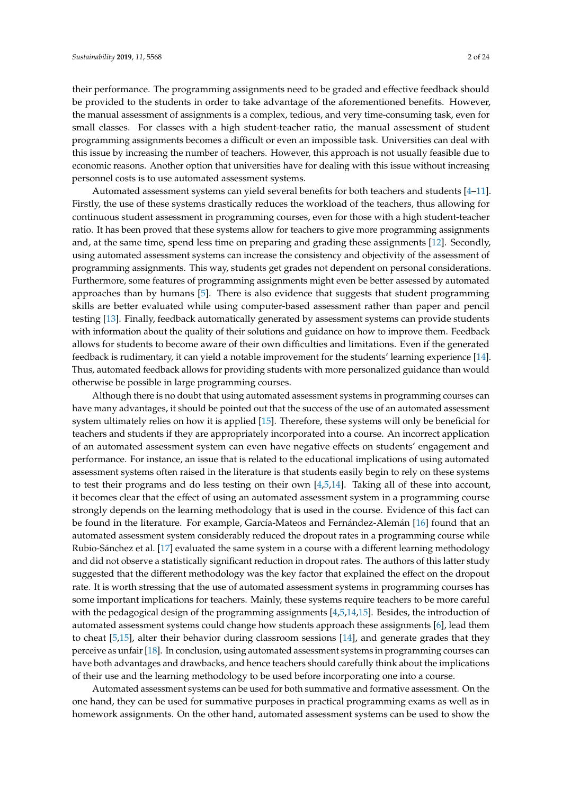their performance. The programming assignments need to be graded and effective feedback should be provided to the students in order to take advantage of the aforementioned benefits. However, the manual assessment of assignments is a complex, tedious, and very time-consuming task, even for small classes. For classes with a high student-teacher ratio, the manual assessment of student programming assignments becomes a difficult or even an impossible task. Universities can deal with this issue by increasing the number of teachers. However, this approach is not usually feasible due to economic reasons. Another option that universities have for dealing with this issue without increasing personnel costs is to use automated assessment systems.

Automated assessment systems can yield several benefits for both teachers and students [\[4–](#page-21-3)[11\]](#page-22-0). Firstly, the use of these systems drastically reduces the workload of the teachers, thus allowing for continuous student assessment in programming courses, even for those with a high student-teacher ratio. It has been proved that these systems allow for teachers to give more programming assignments and, at the same time, spend less time on preparing and grading these assignments [\[12\]](#page-22-1). Secondly, using automated assessment systems can increase the consistency and objectivity of the assessment of programming assignments. This way, students get grades not dependent on personal considerations. Furthermore, some features of programming assignments might even be better assessed by automated approaches than by humans [\[5\]](#page-21-4). There is also evidence that suggests that student programming skills are better evaluated while using computer-based assessment rather than paper and pencil testing [\[13\]](#page-22-2). Finally, feedback automatically generated by assessment systems can provide students with information about the quality of their solutions and guidance on how to improve them. Feedback allows for students to become aware of their own difficulties and limitations. Even if the generated feedback is rudimentary, it can yield a notable improvement for the students' learning experience [\[14\]](#page-22-3). Thus, automated feedback allows for providing students with more personalized guidance than would otherwise be possible in large programming courses.

Although there is no doubt that using automated assessment systems in programming courses can have many advantages, it should be pointed out that the success of the use of an automated assessment system ultimately relies on how it is applied [\[15\]](#page-22-4). Therefore, these systems will only be beneficial for teachers and students if they are appropriately incorporated into a course. An incorrect application of an automated assessment system can even have negative effects on students' engagement and performance. For instance, an issue that is related to the educational implications of using automated assessment systems often raised in the literature is that students easily begin to rely on these systems to test their programs and do less testing on their own [\[4](#page-21-3)[,5](#page-21-4)[,14\]](#page-22-3). Taking all of these into account, it becomes clear that the effect of using an automated assessment system in a programming course strongly depends on the learning methodology that is used in the course. Evidence of this fact can be found in the literature. For example, García-Mateos and Fernández-Alemán [\[16\]](#page-22-5) found that an automated assessment system considerably reduced the dropout rates in a programming course while Rubio-Sánchez et al. [\[17\]](#page-22-6) evaluated the same system in a course with a different learning methodology and did not observe a statistically significant reduction in dropout rates. The authors of this latter study suggested that the different methodology was the key factor that explained the effect on the dropout rate. It is worth stressing that the use of automated assessment systems in programming courses has some important implications for teachers. Mainly, these systems require teachers to be more careful with the pedagogical design of the programming assignments [\[4,](#page-21-3)[5](#page-21-4)[,14](#page-22-3)[,15\]](#page-22-4). Besides, the introduction of automated assessment systems could change how students approach these assignments [\[6\]](#page-21-5), lead them to cheat [\[5,](#page-21-4)[15\]](#page-22-4), alter their behavior during classroom sessions [\[14\]](#page-22-3), and generate grades that they perceive as unfair [\[18\]](#page-22-7). In conclusion, using automated assessment systems in programming courses can have both advantages and drawbacks, and hence teachers should carefully think about the implications of their use and the learning methodology to be used before incorporating one into a course.

Automated assessment systems can be used for both summative and formative assessment. On the one hand, they can be used for summative purposes in practical programming exams as well as in homework assignments. On the other hand, automated assessment systems can be used to show the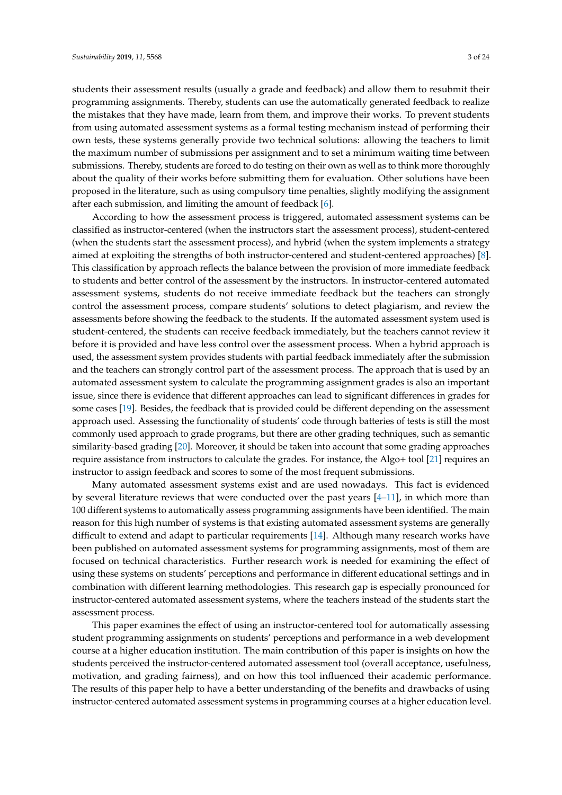students their assessment results (usually a grade and feedback) and allow them to resubmit their programming assignments. Thereby, students can use the automatically generated feedback to realize the mistakes that they have made, learn from them, and improve their works. To prevent students from using automated assessment systems as a formal testing mechanism instead of performing their own tests, these systems generally provide two technical solutions: allowing the teachers to limit the maximum number of submissions per assignment and to set a minimum waiting time between submissions. Thereby, students are forced to do testing on their own as well as to think more thoroughly about the quality of their works before submitting them for evaluation. Other solutions have been proposed in the literature, such as using compulsory time penalties, slightly modifying the assignment after each submission, and limiting the amount of feedback [\[6\]](#page-21-5).

According to how the assessment process is triggered, automated assessment systems can be classified as instructor-centered (when the instructors start the assessment process), student-centered (when the students start the assessment process), and hybrid (when the system implements a strategy aimed at exploiting the strengths of both instructor-centered and student-centered approaches) [\[8\]](#page-21-6). This classification by approach reflects the balance between the provision of more immediate feedback to students and better control of the assessment by the instructors. In instructor-centered automated assessment systems, students do not receive immediate feedback but the teachers can strongly control the assessment process, compare students' solutions to detect plagiarism, and review the assessments before showing the feedback to the students. If the automated assessment system used is student-centered, the students can receive feedback immediately, but the teachers cannot review it before it is provided and have less control over the assessment process. When a hybrid approach is used, the assessment system provides students with partial feedback immediately after the submission and the teachers can strongly control part of the assessment process. The approach that is used by an automated assessment system to calculate the programming assignment grades is also an important issue, since there is evidence that different approaches can lead to significant differences in grades for some cases [\[19\]](#page-22-8). Besides, the feedback that is provided could be different depending on the assessment approach used. Assessing the functionality of students' code through batteries of tests is still the most commonly used approach to grade programs, but there are other grading techniques, such as semantic similarity-based grading [\[20\]](#page-22-9). Moreover, it should be taken into account that some grading approaches require assistance from instructors to calculate the grades. For instance, the Algo+ tool [\[21\]](#page-22-10) requires an instructor to assign feedback and scores to some of the most frequent submissions.

Many automated assessment systems exist and are used nowadays. This fact is evidenced by several literature reviews that were conducted over the past years [\[4](#page-21-3)[–11\]](#page-22-0), in which more than 100 different systems to automatically assess programming assignments have been identified. The main reason for this high number of systems is that existing automated assessment systems are generally difficult to extend and adapt to particular requirements [\[14\]](#page-22-3). Although many research works have been published on automated assessment systems for programming assignments, most of them are focused on technical characteristics. Further research work is needed for examining the effect of using these systems on students' perceptions and performance in different educational settings and in combination with different learning methodologies. This research gap is especially pronounced for instructor-centered automated assessment systems, where the teachers instead of the students start the assessment process.

This paper examines the effect of using an instructor-centered tool for automatically assessing student programming assignments on students' perceptions and performance in a web development course at a higher education institution. The main contribution of this paper is insights on how the students perceived the instructor-centered automated assessment tool (overall acceptance, usefulness, motivation, and grading fairness), and on how this tool influenced their academic performance. The results of this paper help to have a better understanding of the benefits and drawbacks of using instructor-centered automated assessment systems in programming courses at a higher education level.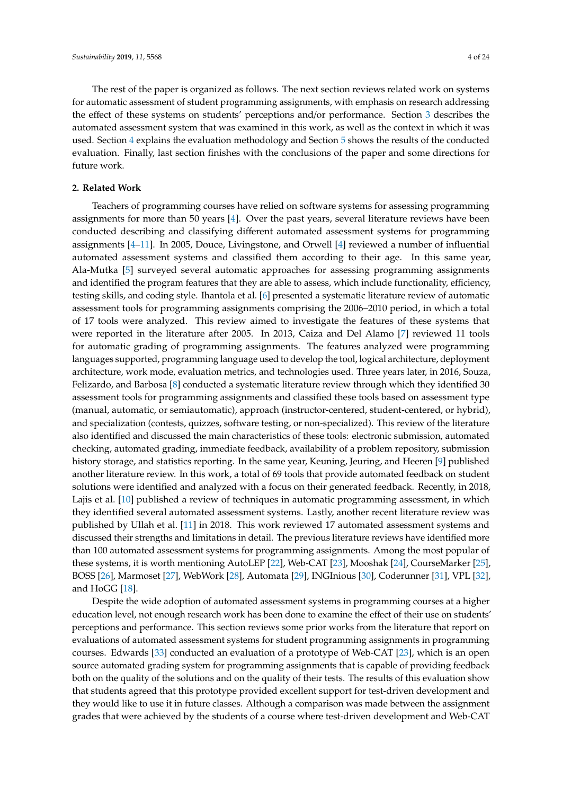The rest of the paper is organized as follows. The next section reviews related work on systems for automatic assessment of student programming assignments, with emphasis on research addressing the effect of these systems on students' perceptions and/or performance. Section [3](#page-5-0) describes the automated assessment system that was examined in this work, as well as the context in which it was used. Section [4](#page-11-0) explains the evaluation methodology and Section [5](#page-12-0) shows the results of the conducted evaluation. Finally, last section finishes with the conclusions of the paper and some directions for future work.

# **2. Related Work**

Teachers of programming courses have relied on software systems for assessing programming assignments for more than 50 years [\[4\]](#page-21-3). Over the past years, several literature reviews have been conducted describing and classifying different automated assessment systems for programming assignments [\[4](#page-21-3)[–11\]](#page-22-0). In 2005, Douce, Livingstone, and Orwell [\[4\]](#page-21-3) reviewed a number of influential automated assessment systems and classified them according to their age. In this same year, Ala-Mutka [\[5\]](#page-21-4) surveyed several automatic approaches for assessing programming assignments and identified the program features that they are able to assess, which include functionality, efficiency, testing skills, and coding style. Ihantola et al. [\[6\]](#page-21-5) presented a systematic literature review of automatic assessment tools for programming assignments comprising the 2006–2010 period, in which a total of 17 tools were analyzed. This review aimed to investigate the features of these systems that were reported in the literature after 2005. In 2013, Caiza and Del Alamo [\[7\]](#page-21-7) reviewed 11 tools for automatic grading of programming assignments. The features analyzed were programming languages supported, programming language used to develop the tool, logical architecture, deployment architecture, work mode, evaluation metrics, and technologies used. Three years later, in 2016, Souza, Felizardo, and Barbosa [\[8\]](#page-21-6) conducted a systematic literature review through which they identified 30 assessment tools for programming assignments and classified these tools based on assessment type (manual, automatic, or semiautomatic), approach (instructor-centered, student-centered, or hybrid), and specialization (contests, quizzes, software testing, or non-specialized). This review of the literature also identified and discussed the main characteristics of these tools: electronic submission, automated checking, automated grading, immediate feedback, availability of a problem repository, submission history storage, and statistics reporting. In the same year, Keuning, Jeuring, and Heeren [\[9\]](#page-22-11) published another literature review. In this work, a total of 69 tools that provide automated feedback on student solutions were identified and analyzed with a focus on their generated feedback. Recently, in 2018, Lajis et al. [\[10\]](#page-22-12) published a review of techniques in automatic programming assessment, in which they identified several automated assessment systems. Lastly, another recent literature review was published by Ullah et al. [\[11\]](#page-22-0) in 2018. This work reviewed 17 automated assessment systems and discussed their strengths and limitations in detail. The previous literature reviews have identified more than 100 automated assessment systems for programming assignments. Among the most popular of these systems, it is worth mentioning AutoLEP [\[22\]](#page-22-13), Web-CAT [\[23\]](#page-22-14), Mooshak [\[24\]](#page-22-15), CourseMarker [\[25\]](#page-22-16), BOSS [\[26\]](#page-22-17), Marmoset [\[27\]](#page-22-18), WebWork [\[28\]](#page-22-19), Automata [\[29\]](#page-22-20), INGInious [\[30\]](#page-23-0), Coderunner [\[31\]](#page-23-1), VPL [\[32\]](#page-23-2), and HoGG [\[18\]](#page-22-7).

Despite the wide adoption of automated assessment systems in programming courses at a higher education level, not enough research work has been done to examine the effect of their use on students' perceptions and performance. This section reviews some prior works from the literature that report on evaluations of automated assessment systems for student programming assignments in programming courses. Edwards [\[33\]](#page-23-3) conducted an evaluation of a prototype of Web-CAT [\[23\]](#page-22-14), which is an open source automated grading system for programming assignments that is capable of providing feedback both on the quality of the solutions and on the quality of their tests. The results of this evaluation show that students agreed that this prototype provided excellent support for test-driven development and they would like to use it in future classes. Although a comparison was made between the assignment grades that were achieved by the students of a course where test-driven development and Web-CAT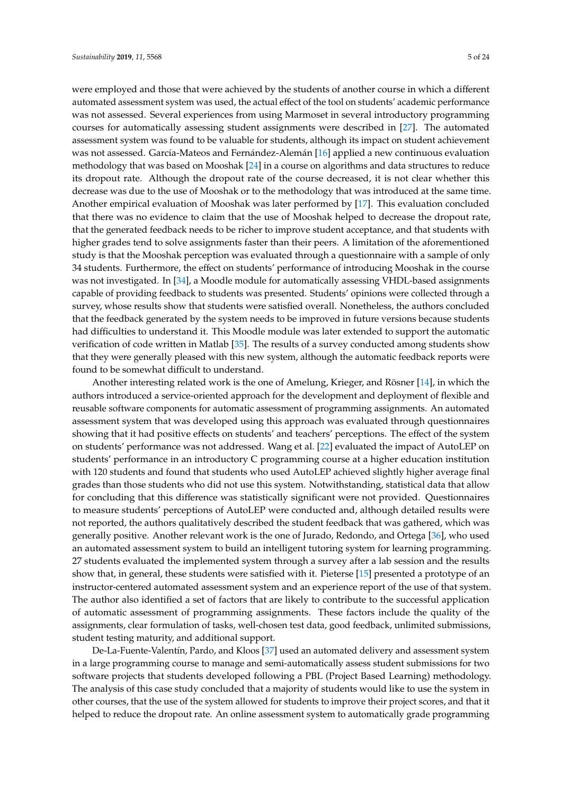were employed and those that were achieved by the students of another course in which a different automated assessment system was used, the actual effect of the tool on students' academic performance was not assessed. Several experiences from using Marmoset in several introductory programming courses for automatically assessing student assignments were described in [\[27\]](#page-22-18). The automated assessment system was found to be valuable for students, although its impact on student achievement was not assessed. García-Mateos and Fernández-Alemán [\[16\]](#page-22-5) applied a new continuous evaluation methodology that was based on Mooshak [\[24\]](#page-22-15) in a course on algorithms and data structures to reduce its dropout rate. Although the dropout rate of the course decreased, it is not clear whether this decrease was due to the use of Mooshak or to the methodology that was introduced at the same time. Another empirical evaluation of Mooshak was later performed by [\[17\]](#page-22-6). This evaluation concluded that there was no evidence to claim that the use of Mooshak helped to decrease the dropout rate, that the generated feedback needs to be richer to improve student acceptance, and that students with higher grades tend to solve assignments faster than their peers. A limitation of the aforementioned study is that the Mooshak perception was evaluated through a questionnaire with a sample of only 34 students. Furthermore, the effect on students' performance of introducing Mooshak in the course was not investigated. In [\[34\]](#page-23-4), a Moodle module for automatically assessing VHDL-based assignments capable of providing feedback to students was presented. Students' opinions were collected through a survey, whose results show that students were satisfied overall. Nonetheless, the authors concluded that the feedback generated by the system needs to be improved in future versions because students had difficulties to understand it. This Moodle module was later extended to support the automatic verification of code written in Matlab [\[35\]](#page-23-5). The results of a survey conducted among students show that they were generally pleased with this new system, although the automatic feedback reports were found to be somewhat difficult to understand.

Another interesting related work is the one of Amelung, Krieger, and Rösner [\[14\]](#page-22-3), in which the authors introduced a service-oriented approach for the development and deployment of flexible and reusable software components for automatic assessment of programming assignments. An automated assessment system that was developed using this approach was evaluated through questionnaires showing that it had positive effects on students' and teachers' perceptions. The effect of the system on students' performance was not addressed. Wang et al. [\[22\]](#page-22-13) evaluated the impact of AutoLEP on students' performance in an introductory C programming course at a higher education institution with 120 students and found that students who used AutoLEP achieved slightly higher average final grades than those students who did not use this system. Notwithstanding, statistical data that allow for concluding that this difference was statistically significant were not provided. Questionnaires to measure students' perceptions of AutoLEP were conducted and, although detailed results were not reported, the authors qualitatively described the student feedback that was gathered, which was generally positive. Another relevant work is the one of Jurado, Redondo, and Ortega [\[36\]](#page-23-6), who used an automated assessment system to build an intelligent tutoring system for learning programming. 27 students evaluated the implemented system through a survey after a lab session and the results show that, in general, these students were satisfied with it. Pieterse [\[15\]](#page-22-4) presented a prototype of an instructor-centered automated assessment system and an experience report of the use of that system. The author also identified a set of factors that are likely to contribute to the successful application of automatic assessment of programming assignments. These factors include the quality of the assignments, clear formulation of tasks, well-chosen test data, good feedback, unlimited submissions, student testing maturity, and additional support.

De-La-Fuente-Valentín, Pardo, and Kloos [\[37\]](#page-23-7) used an automated delivery and assessment system in a large programming course to manage and semi-automatically assess student submissions for two software projects that students developed following a PBL (Project Based Learning) methodology. The analysis of this case study concluded that a majority of students would like to use the system in other courses, that the use of the system allowed for students to improve their project scores, and that it helped to reduce the dropout rate. An online assessment system to automatically grade programming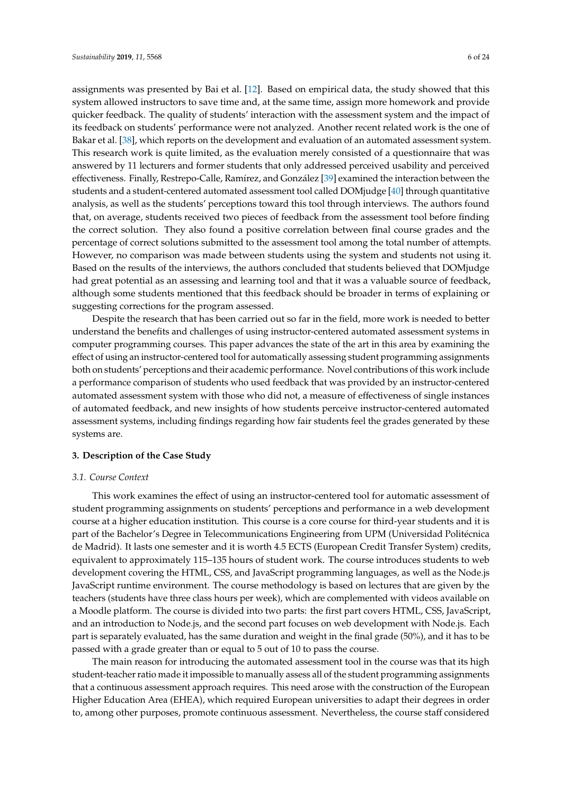assignments was presented by Bai et al. [\[12\]](#page-22-1). Based on empirical data, the study showed that this system allowed instructors to save time and, at the same time, assign more homework and provide quicker feedback. The quality of students' interaction with the assessment system and the impact of its feedback on students' performance were not analyzed. Another recent related work is the one of Bakar et al. [\[38\]](#page-23-8), which reports on the development and evaluation of an automated assessment system. This research work is quite limited, as the evaluation merely consisted of a questionnaire that was answered by 11 lecturers and former students that only addressed perceived usability and perceived effectiveness. Finally, Restrepo-Calle, Ramírez, and González [\[39\]](#page-23-9) examined the interaction between the students and a student-centered automated assessment tool called DOMjudge [\[40\]](#page-23-10) through quantitative analysis, as well as the students' perceptions toward this tool through interviews. The authors found that, on average, students received two pieces of feedback from the assessment tool before finding the correct solution. They also found a positive correlation between final course grades and the percentage of correct solutions submitted to the assessment tool among the total number of attempts. However, no comparison was made between students using the system and students not using it. Based on the results of the interviews, the authors concluded that students believed that DOMjudge had great potential as an assessing and learning tool and that it was a valuable source of feedback, although some students mentioned that this feedback should be broader in terms of explaining or suggesting corrections for the program assessed.

Despite the research that has been carried out so far in the field, more work is needed to better understand the benefits and challenges of using instructor-centered automated assessment systems in computer programming courses. This paper advances the state of the art in this area by examining the effect of using an instructor-centered tool for automatically assessing student programming assignments both on students' perceptions and their academic performance. Novel contributions of this work include a performance comparison of students who used feedback that was provided by an instructor-centered automated assessment system with those who did not, a measure of effectiveness of single instances of automated feedback, and new insights of how students perceive instructor-centered automated assessment systems, including findings regarding how fair students feel the grades generated by these systems are.

# <span id="page-5-0"></span>**3. Description of the Case Study**

#### *3.1. Course Context*

This work examines the effect of using an instructor-centered tool for automatic assessment of student programming assignments on students' perceptions and performance in a web development course at a higher education institution. This course is a core course for third-year students and it is part of the Bachelor's Degree in Telecommunications Engineering from UPM (Universidad Politécnica de Madrid). It lasts one semester and it is worth 4.5 ECTS (European Credit Transfer System) credits, equivalent to approximately 115–135 hours of student work. The course introduces students to web development covering the HTML, CSS, and JavaScript programming languages, as well as the Node.js JavaScript runtime environment. The course methodology is based on lectures that are given by the teachers (students have three class hours per week), which are complemented with videos available on a Moodle platform. The course is divided into two parts: the first part covers HTML, CSS, JavaScript, and an introduction to Node.js, and the second part focuses on web development with Node.js. Each part is separately evaluated, has the same duration and weight in the final grade (50%), and it has to be passed with a grade greater than or equal to 5 out of 10 to pass the course.

The main reason for introducing the automated assessment tool in the course was that its high student-teacher ratio made it impossible to manually assess all of the student programming assignments that a continuous assessment approach requires. This need arose with the construction of the European Higher Education Area (EHEA), which required European universities to adapt their degrees in order to, among other purposes, promote continuous assessment. Nevertheless, the course staff considered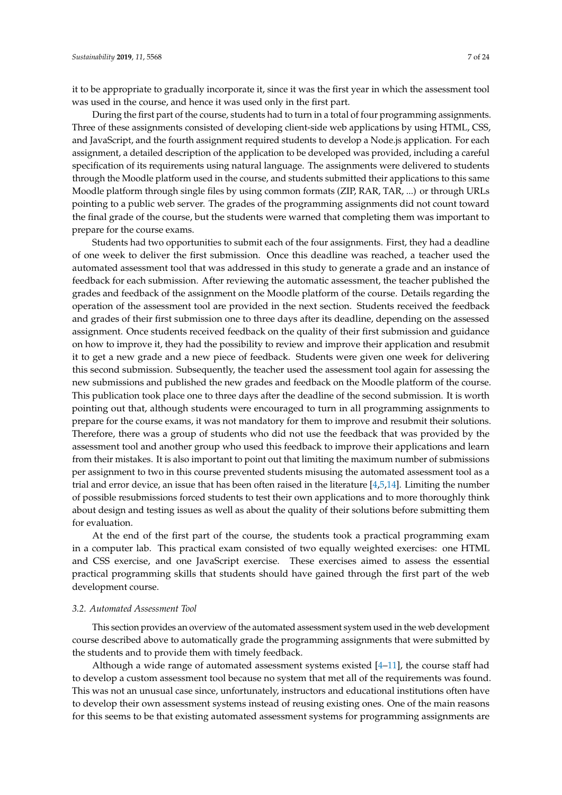it to be appropriate to gradually incorporate it, since it was the first year in which the assessment tool was used in the course, and hence it was used only in the first part.

During the first part of the course, students had to turn in a total of four programming assignments. Three of these assignments consisted of developing client-side web applications by using HTML, CSS, and JavaScript, and the fourth assignment required students to develop a Node.js application. For each assignment, a detailed description of the application to be developed was provided, including a careful specification of its requirements using natural language. The assignments were delivered to students through the Moodle platform used in the course, and students submitted their applications to this same Moodle platform through single files by using common formats (ZIP, RAR, TAR, ...) or through URLs pointing to a public web server. The grades of the programming assignments did not count toward the final grade of the course, but the students were warned that completing them was important to prepare for the course exams.

Students had two opportunities to submit each of the four assignments. First, they had a deadline of one week to deliver the first submission. Once this deadline was reached, a teacher used the automated assessment tool that was addressed in this study to generate a grade and an instance of feedback for each submission. After reviewing the automatic assessment, the teacher published the grades and feedback of the assignment on the Moodle platform of the course. Details regarding the operation of the assessment tool are provided in the next section. Students received the feedback and grades of their first submission one to three days after its deadline, depending on the assessed assignment. Once students received feedback on the quality of their first submission and guidance on how to improve it, they had the possibility to review and improve their application and resubmit it to get a new grade and a new piece of feedback. Students were given one week for delivering this second submission. Subsequently, the teacher used the assessment tool again for assessing the new submissions and published the new grades and feedback on the Moodle platform of the course. This publication took place one to three days after the deadline of the second submission. It is worth pointing out that, although students were encouraged to turn in all programming assignments to prepare for the course exams, it was not mandatory for them to improve and resubmit their solutions. Therefore, there was a group of students who did not use the feedback that was provided by the assessment tool and another group who used this feedback to improve their applications and learn from their mistakes. It is also important to point out that limiting the maximum number of submissions per assignment to two in this course prevented students misusing the automated assessment tool as a trial and error device, an issue that has been often raised in the literature [\[4](#page-21-3)[,5](#page-21-4)[,14\]](#page-22-3). Limiting the number of possible resubmissions forced students to test their own applications and to more thoroughly think about design and testing issues as well as about the quality of their solutions before submitting them for evaluation.

At the end of the first part of the course, the students took a practical programming exam in a computer lab. This practical exam consisted of two equally weighted exercises: one HTML and CSS exercise, and one JavaScript exercise. These exercises aimed to assess the essential practical programming skills that students should have gained through the first part of the web development course.

#### *3.2. Automated Assessment Tool*

This section provides an overview of the automated assessment system used in the web development course described above to automatically grade the programming assignments that were submitted by the students and to provide them with timely feedback.

Although a wide range of automated assessment systems existed [\[4–](#page-21-3)[11\]](#page-22-0), the course staff had to develop a custom assessment tool because no system that met all of the requirements was found. This was not an unusual case since, unfortunately, instructors and educational institutions often have to develop their own assessment systems instead of reusing existing ones. One of the main reasons for this seems to be that existing automated assessment systems for programming assignments are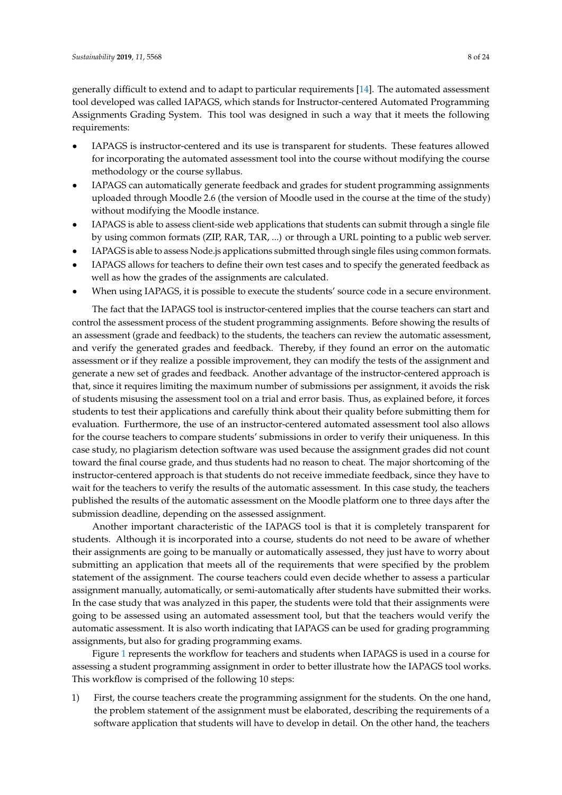generally difficult to extend and to adapt to particular requirements [\[14\]](#page-22-3). The automated assessment tool developed was called IAPAGS, which stands for Instructor-centered Automated Programming Assignments Grading System. This tool was designed in such a way that it meets the following requirements:

- IAPAGS is instructor-centered and its use is transparent for students. These features allowed for incorporating the automated assessment tool into the course without modifying the course methodology or the course syllabus.
- IAPAGS can automatically generate feedback and grades for student programming assignments uploaded through Moodle 2.6 (the version of Moodle used in the course at the time of the study) without modifying the Moodle instance.
- IAPAGS is able to assess client-side web applications that students can submit through a single file by using common formats (ZIP, RAR, TAR, ...) or through a URL pointing to a public web server.
- IAPAGS is able to assess Node.js applications submitted through single files using common formats.
- IAPAGS allows for teachers to define their own test cases and to specify the generated feedback as well as how the grades of the assignments are calculated.
- When using IAPAGS, it is possible to execute the students' source code in a secure environment.

The fact that the IAPAGS tool is instructor-centered implies that the course teachers can start and control the assessment process of the student programming assignments. Before showing the results of an assessment (grade and feedback) to the students, the teachers can review the automatic assessment, and verify the generated grades and feedback. Thereby, if they found an error on the automatic assessment or if they realize a possible improvement, they can modify the tests of the assignment and generate a new set of grades and feedback. Another advantage of the instructor-centered approach is that, since it requires limiting the maximum number of submissions per assignment, it avoids the risk of students misusing the assessment tool on a trial and error basis. Thus, as explained before, it forces students to test their applications and carefully think about their quality before submitting them for evaluation. Furthermore, the use of an instructor-centered automated assessment tool also allows for the course teachers to compare students' submissions in order to verify their uniqueness. In this case study, no plagiarism detection software was used because the assignment grades did not count toward the final course grade, and thus students had no reason to cheat. The major shortcoming of the instructor-centered approach is that students do not receive immediate feedback, since they have to wait for the teachers to verify the results of the automatic assessment. In this case study, the teachers published the results of the automatic assessment on the Moodle platform one to three days after the submission deadline, depending on the assessed assignment.

Another important characteristic of the IAPAGS tool is that it is completely transparent for students. Although it is incorporated into a course, students do not need to be aware of whether their assignments are going to be manually or automatically assessed, they just have to worry about submitting an application that meets all of the requirements that were specified by the problem statement of the assignment. The course teachers could even decide whether to assess a particular assignment manually, automatically, or semi-automatically after students have submitted their works. In the case study that was analyzed in this paper, the students were told that their assignments were going to be assessed using an automated assessment tool, but that the teachers would verify the automatic assessment. It is also worth indicating that IAPAGS can be used for grading programming assignments, but also for grading programming exams.

Figure [1](#page-9-0) represents the workflow for teachers and students when IAPAGS is used in a course for assessing a student programming assignment in order to better illustrate how the IAPAGS tool works. This workflow is comprised of the following 10 steps:

1) First, the course teachers create the programming assignment for the students. On the one hand, the problem statement of the assignment must be elaborated, describing the requirements of a software application that students will have to develop in detail. On the other hand, the teachers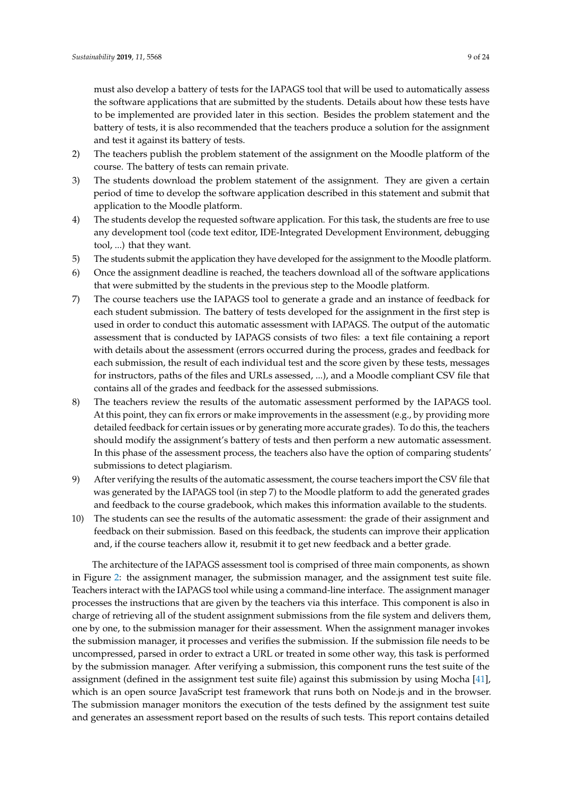must also develop a battery of tests for the IAPAGS tool that will be used to automatically assess the software applications that are submitted by the students. Details about how these tests have to be implemented are provided later in this section. Besides the problem statement and the battery of tests, it is also recommended that the teachers produce a solution for the assignment and test it against its battery of tests.

- 2) The teachers publish the problem statement of the assignment on the Moodle platform of the course. The battery of tests can remain private.
- 3) The students download the problem statement of the assignment. They are given a certain period of time to develop the software application described in this statement and submit that application to the Moodle platform.
- 4) The students develop the requested software application. For this task, the students are free to use any development tool (code text editor, IDE-Integrated Development Environment, debugging tool, ...) that they want.
- 5) The students submit the application they have developed for the assignment to the Moodle platform.
- 6) Once the assignment deadline is reached, the teachers download all of the software applications that were submitted by the students in the previous step to the Moodle platform.
- 7) The course teachers use the IAPAGS tool to generate a grade and an instance of feedback for each student submission. The battery of tests developed for the assignment in the first step is used in order to conduct this automatic assessment with IAPAGS. The output of the automatic assessment that is conducted by IAPAGS consists of two files: a text file containing a report with details about the assessment (errors occurred during the process, grades and feedback for each submission, the result of each individual test and the score given by these tests, messages for instructors, paths of the files and URLs assessed, ...), and a Moodle compliant CSV file that contains all of the grades and feedback for the assessed submissions.
- 8) The teachers review the results of the automatic assessment performed by the IAPAGS tool. At this point, they can fix errors or make improvements in the assessment (e.g., by providing more detailed feedback for certain issues or by generating more accurate grades). To do this, the teachers should modify the assignment's battery of tests and then perform a new automatic assessment. In this phase of the assessment process, the teachers also have the option of comparing students' submissions to detect plagiarism.
- 9) After verifying the results of the automatic assessment, the course teachers import the CSV file that was generated by the IAPAGS tool (in step 7) to the Moodle platform to add the generated grades and feedback to the course gradebook, which makes this information available to the students.
- 10) The students can see the results of the automatic assessment: the grade of their assignment and feedback on their submission. Based on this feedback, the students can improve their application and, if the course teachers allow it, resubmit it to get new feedback and a better grade.

The architecture of the IAPAGS assessment tool is comprised of three main components, as shown in Figure [2:](#page-10-0) the assignment manager, the submission manager, and the assignment test suite file. Teachers interact with the IAPAGS tool while using a command-line interface. The assignment manager processes the instructions that are given by the teachers via this interface. This component is also in charge of retrieving all of the student assignment submissions from the file system and delivers them, one by one, to the submission manager for their assessment. When the assignment manager invokes the submission manager, it processes and verifies the submission. If the submission file needs to be uncompressed, parsed in order to extract a URL or treated in some other way, this task is performed by the submission manager. After verifying a submission, this component runs the test suite of the assignment (defined in the assignment test suite file) against this submission by using Mocha [\[41\]](#page-23-11), which is an open source JavaScript test framework that runs both on Node.js and in the browser. The submission manager monitors the execution of the tests defined by the assignment test suite and generates an assessment report based on the results of such tests. This report contains detailed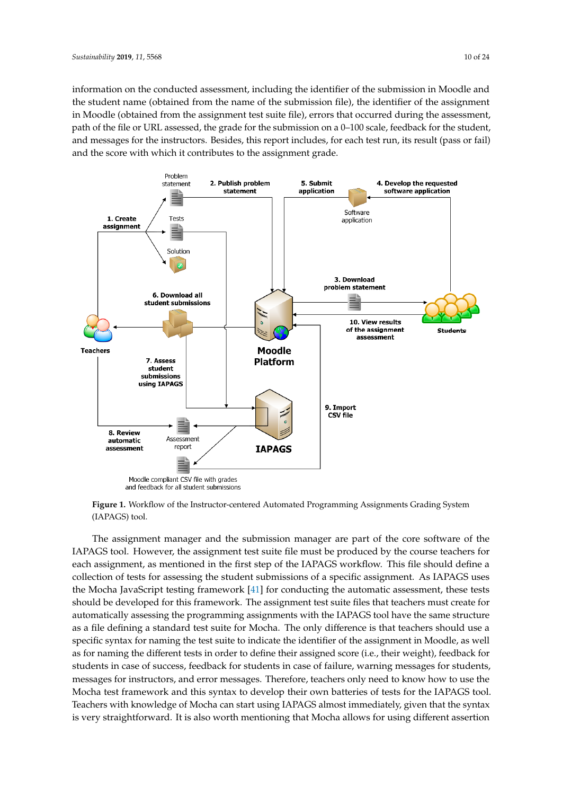information on the conducted assessment, including the identifier of the submission in Moodle and the student name (obtained from the name of the submission file), the identifier of the assignment in Moodle (obtained from the assignment test suite file), errors that occurred during the assessment, path of the file or URL assessed, the grade for the submission on a 0–100 scale, feedback for the student, and messages for the instructors. Besides, this report includes, for each test run, its result (pass or fail) and the score with which it contributes to the assignment grade.

<span id="page-9-0"></span>

**Figure 1.** Workflow of the Instructor-centered Automated Programming Assignments Grading System (IAPAGS) tool.

IAPAGS tool. However, the assignment test suite file must be produced by the course teachers for nance toon the week, the assignment test suite me mast be produced by the celled teachers for each assignment, as mentioned in the first step of the IAPAGS workflow. This file should define a file. The IRC assignment, as increased in the moved per the intrine while while the should define a common collection of tests for assessing the student submissions of a specific assignment. As IAPAGS uses the Mocha JavaScript testing framework [\[41\]](#page-23-11) for conducting the automatic assessment, these tests should be developed for this framework. The assignment test suite files that teachers must create for automatically assessing the programming assignments with the IAPAGS tool have the same structure automatically assessing the programming assignments with the IAPAGS tool have the same structure and internation material material manager in the submission material of the submission manager and verified and a standard test suite for Mocha. The only difference is that teachers should use a specific syntax for naming the test suite to indicate the identifier of the assignment in Moodle, as well of extra dynamics maning the test state to manage in addition of the assignment in the submission, the measure the formaling are among the assignment test in the assignment test assigned secret (net, their weight), recast that<br>students in case of success, feedback for students in case of failure, warning messages for students, messages for instructors, and error messages. Therefore, teachers only need to know how to use the messages for instructors, and error messages. Therefore, teachers only need to know how to use the mostages for managers, and error mostager more text contracted by the assignment test defined by the test framework and this syntax to develop their own batteries of tests for the IAPAGS tool. such a suite and generates and generates and generates  $\frac{1}{2}$  and  $\frac{1}{2}$  and  $\frac{1}{2}$  report  $\frac{1}{2}$  report  $\frac{1}{2}$  report  $\frac{1}{2}$  report  $\frac{1}{2}$  report  $\frac{1}{2}$  report  $\frac{1}{2}$  report  $\frac{1}{2}$  report  $\$ Teachers with knowledge of Mocha can start using IAPAGS almost immediately, given that the syntax<br>is seems straightforward. It is also swerth mantioning that Mocha allows for weing different accertion is very straightforward. It is also worth mentioning that Mocha allows for using different assertion The assignment manager and the submission manager are part of the core software of the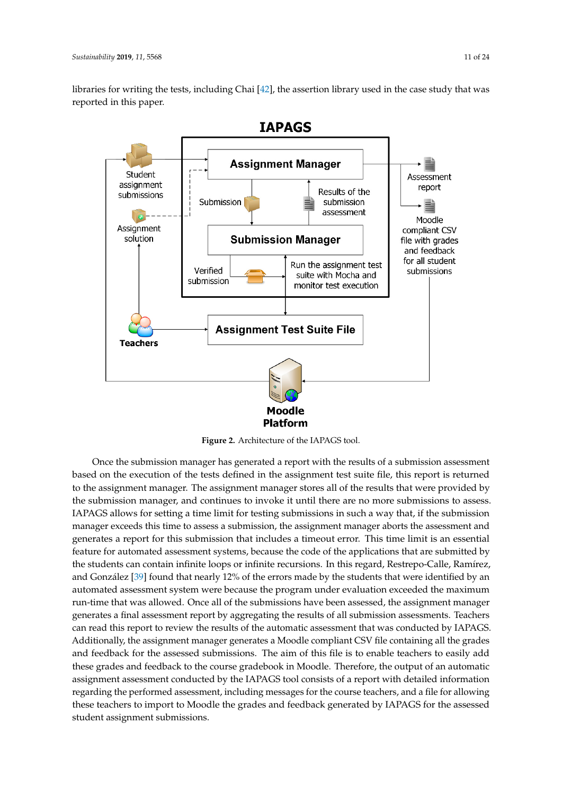libraries for writing the tests, including Chai [\[42\]](#page-23-12), the assertion library used in the case study that was reported in this paper.

<span id="page-10-0"></span>

**Figure 2**. Architecture of the IAPAGS tool. **Figure 2.** Architecture of the IAPAGS tool.

based on the execution of the tests defined in the assignment test suite file, this report is returned to the assignment manager. The assignment manager stores all of the results that were provided by the submission manager, and continues to invoke it until there are no more submissions to assess. IAPAGS allows for setting a time limit for testing submissions in such a way that, if the submission manager exceeds this time to assess a submission, the assignment manager aborts the assessment and generates a report for this submission that includes a timeout error. This time limit is an essential  $\frac{1}{10}$  feature for automated assessment systems, because the code of the applications that are submitted by the students can contain infinite loops or infinite recursions. In this regard, Restrepo-Calle, Ramírez, and González [\[39\]](#page-23-9) found that nearly 12% of the errors made by the students that were identified by an automated assessment system were because the program under evaluation exceeded the maximum run-time that was allowed. Once all of the submissions have been assessed, the assignment manager generates a final assessment report by aggregating the results of all submission assessments. Teachers can read this report to review the results of the automatic assessment that was conducted by IAPAGS. Additionally, the assignment manager generates a Moodle compliant CSV file containing all the grades and feedback for the assessed submissions. The aim of this file is to enable teachers to easily add these grades and feedback to the course gradebook in Moodle. Therefore, the output of an automatic assignment assessment conducted by the IAPAGS tool consists of a report with detailed information regarding the performed assessment, including messages for the course teachers, and a file for allowing these teachers to import to Moodle the grades and feedback generated by IAPAGS for the assessed student assignment submissions.<br> $\frac{1}{2}$ Once the submission manager has generated a report with the results of a submission assessment

 $\mathbf{S}$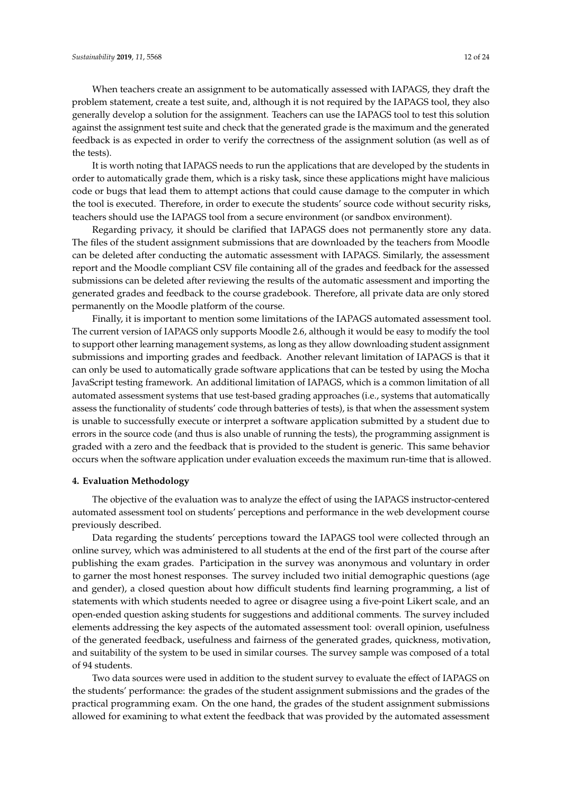When teachers create an assignment to be automatically assessed with IAPAGS, they draft the problem statement, create a test suite, and, although it is not required by the IAPAGS tool, they also generally develop a solution for the assignment. Teachers can use the IAPAGS tool to test this solution against the assignment test suite and check that the generated grade is the maximum and the generated feedback is as expected in order to verify the correctness of the assignment solution (as well as of the tests).

It is worth noting that IAPAGS needs to run the applications that are developed by the students in order to automatically grade them, which is a risky task, since these applications might have malicious code or bugs that lead them to attempt actions that could cause damage to the computer in which the tool is executed. Therefore, in order to execute the students' source code without security risks, teachers should use the IAPAGS tool from a secure environment (or sandbox environment).

Regarding privacy, it should be clarified that IAPAGS does not permanently store any data. The files of the student assignment submissions that are downloaded by the teachers from Moodle can be deleted after conducting the automatic assessment with IAPAGS. Similarly, the assessment report and the Moodle compliant CSV file containing all of the grades and feedback for the assessed submissions can be deleted after reviewing the results of the automatic assessment and importing the generated grades and feedback to the course gradebook. Therefore, all private data are only stored permanently on the Moodle platform of the course.

Finally, it is important to mention some limitations of the IAPAGS automated assessment tool. The current version of IAPAGS only supports Moodle 2.6, although it would be easy to modify the tool to support other learning management systems, as long as they allow downloading student assignment submissions and importing grades and feedback. Another relevant limitation of IAPAGS is that it can only be used to automatically grade software applications that can be tested by using the Mocha JavaScript testing framework. An additional limitation of IAPAGS, which is a common limitation of all automated assessment systems that use test-based grading approaches (i.e., systems that automatically assess the functionality of students' code through batteries of tests), is that when the assessment system is unable to successfully execute or interpret a software application submitted by a student due to errors in the source code (and thus is also unable of running the tests), the programming assignment is graded with a zero and the feedback that is provided to the student is generic. This same behavior occurs when the software application under evaluation exceeds the maximum run-time that is allowed.

## <span id="page-11-0"></span>**4. Evaluation Methodology**

The objective of the evaluation was to analyze the effect of using the IAPAGS instructor-centered automated assessment tool on students' perceptions and performance in the web development course previously described.

Data regarding the students' perceptions toward the IAPAGS tool were collected through an online survey, which was administered to all students at the end of the first part of the course after publishing the exam grades. Participation in the survey was anonymous and voluntary in order to garner the most honest responses. The survey included two initial demographic questions (age and gender), a closed question about how difficult students find learning programming, a list of statements with which students needed to agree or disagree using a five-point Likert scale, and an open-ended question asking students for suggestions and additional comments. The survey included elements addressing the key aspects of the automated assessment tool: overall opinion, usefulness of the generated feedback, usefulness and fairness of the generated grades, quickness, motivation, and suitability of the system to be used in similar courses. The survey sample was composed of a total of 94 students.

Two data sources were used in addition to the student survey to evaluate the effect of IAPAGS on the students' performance: the grades of the student assignment submissions and the grades of the practical programming exam. On the one hand, the grades of the student assignment submissions allowed for examining to what extent the feedback that was provided by the automated assessment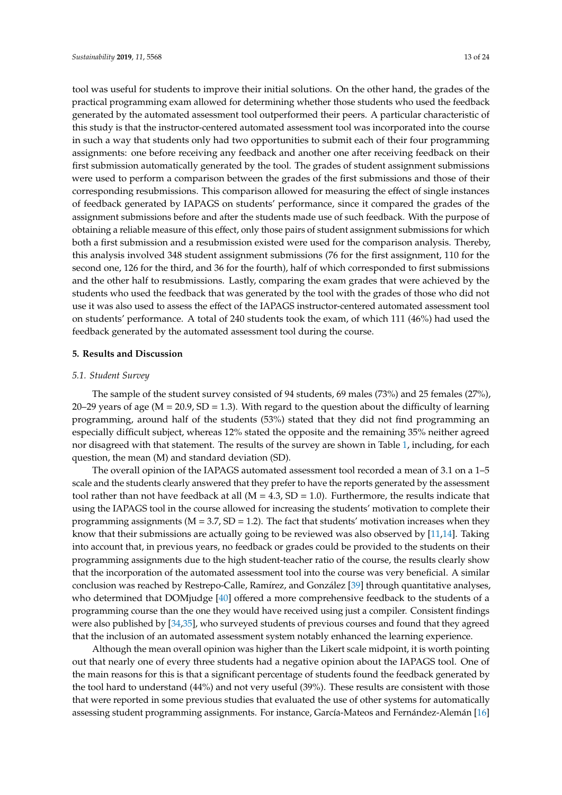tool was useful for students to improve their initial solutions. On the other hand, the grades of the practical programming exam allowed for determining whether those students who used the feedback generated by the automated assessment tool outperformed their peers. A particular characteristic of this study is that the instructor-centered automated assessment tool was incorporated into the course in such a way that students only had two opportunities to submit each of their four programming assignments: one before receiving any feedback and another one after receiving feedback on their first submission automatically generated by the tool. The grades of student assignment submissions were used to perform a comparison between the grades of the first submissions and those of their corresponding resubmissions. This comparison allowed for measuring the effect of single instances of feedback generated by IAPAGS on students' performance, since it compared the grades of the assignment submissions before and after the students made use of such feedback. With the purpose of obtaining a reliable measure of this effect, only those pairs of student assignment submissions for which both a first submission and a resubmission existed were used for the comparison analysis. Thereby, this analysis involved 348 student assignment submissions (76 for the first assignment, 110 for the second one, 126 for the third, and 36 for the fourth), half of which corresponded to first submissions and the other half to resubmissions. Lastly, comparing the exam grades that were achieved by the students who used the feedback that was generated by the tool with the grades of those who did not use it was also used to assess the effect of the IAPAGS instructor-centered automated assessment tool on students' performance. A total of 240 students took the exam, of which 111 (46%) had used the feedback generated by the automated assessment tool during the course.

#### <span id="page-12-0"></span>**5. Results and Discussion**

#### *5.1. Student Survey*

The sample of the student survey consisted of 94 students, 69 males (73%) and 25 females (27%), 20–29 years of age ( $M = 20.9$ ,  $SD = 1.3$ ). With regard to the question about the difficulty of learning programming, around half of the students (53%) stated that they did not find programming an especially difficult subject, whereas 12% stated the opposite and the remaining 35% neither agreed nor disagreed with that statement. The results of the survey are shown in Table [1,](#page-13-0) including, for each question, the mean (M) and standard deviation (SD).

The overall opinion of the IAPAGS automated assessment tool recorded a mean of 3.1 on a 1–5 scale and the students clearly answered that they prefer to have the reports generated by the assessment tool rather than not have feedback at all  $(M = 4.3, SD = 1.0)$ . Furthermore, the results indicate that using the IAPAGS tool in the course allowed for increasing the students' motivation to complete their programming assignments ( $M = 3.7$ ,  $SD = 1.2$ ). The fact that students' motivation increases when they know that their submissions are actually going to be reviewed was also observed by [\[11,](#page-22-0)[14\]](#page-22-3). Taking into account that, in previous years, no feedback or grades could be provided to the students on their programming assignments due to the high student-teacher ratio of the course, the results clearly show that the incorporation of the automated assessment tool into the course was very beneficial. A similar conclusion was reached by Restrepo-Calle, Ramírez, and González [\[39\]](#page-23-9) through quantitative analyses, who determined that DOMjudge [\[40\]](#page-23-10) offered a more comprehensive feedback to the students of a programming course than the one they would have received using just a compiler. Consistent findings were also published by [\[34](#page-23-4)[,35\]](#page-23-5), who surveyed students of previous courses and found that they agreed that the inclusion of an automated assessment system notably enhanced the learning experience.

Although the mean overall opinion was higher than the Likert scale midpoint, it is worth pointing out that nearly one of every three students had a negative opinion about the IAPAGS tool. One of the main reasons for this is that a significant percentage of students found the feedback generated by the tool hard to understand (44%) and not very useful (39%). These results are consistent with those that were reported in some previous studies that evaluated the use of other systems for automatically assessing student programming assignments. For instance, García-Mateos and Fernández-Alemán [\[16\]](#page-22-5)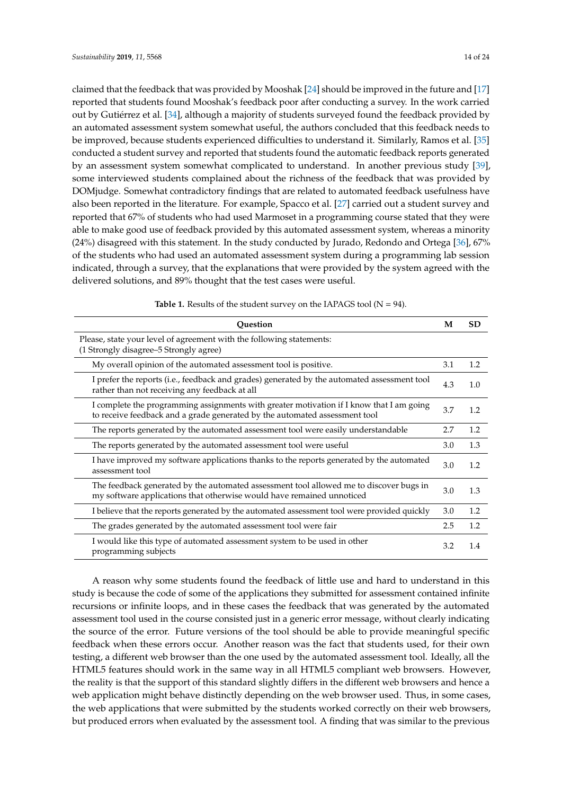claimed that the feedback that was provided by Mooshak [\[24\]](#page-22-15) should be improved in the future and [\[17\]](#page-22-6) reported that students found Mooshak's feedback poor after conducting a survey. In the work carried out by Gutiérrez et al. [\[34\]](#page-23-4), although a majority of students surveyed found the feedback provided by an automated assessment system somewhat useful, the authors concluded that this feedback needs to be improved, because students experienced difficulties to understand it. Similarly, Ramos et al. [\[35\]](#page-23-5) conducted a student survey and reported that students found the automatic feedback reports generated by an assessment system somewhat complicated to understand. In another previous study [\[39\]](#page-23-9), some interviewed students complained about the richness of the feedback that was provided by DOMjudge. Somewhat contradictory findings that are related to automated feedback usefulness have also been reported in the literature. For example, Spacco et al. [\[27\]](#page-22-18) carried out a student survey and reported that 67% of students who had used Marmoset in a programming course stated that they were able to make good use of feedback provided by this automated assessment system, whereas a minority (24%) disagreed with this statement. In the study conducted by Jurado, Redondo and Ortega [\[36\]](#page-23-6), 67% of the students who had used an automated assessment system during a programming lab session indicated, through a survey, that the explanations that were provided by the system agreed with the delivered solutions, and 89% thought that the test cases were useful.

<span id="page-13-0"></span>

| Question                                                                                                                                                               | M   | <b>SD</b> |
|------------------------------------------------------------------------------------------------------------------------------------------------------------------------|-----|-----------|
| Please, state your level of agreement with the following statements:<br>(1 Strongly disagree-5 Strongly agree)                                                         |     |           |
| My overall opinion of the automated assessment tool is positive.                                                                                                       | 3.1 | 1.2       |
| I prefer the reports (i.e., feedback and grades) generated by the automated assessment tool<br>rather than not receiving any feedback at all                           | 4.3 | 1.0       |
| I complete the programming assignments with greater motivation if I know that I am going<br>to receive feedback and a grade generated by the automated assessment tool | 3.7 | 1.2       |
| The reports generated by the automated assessment tool were easily understandable                                                                                      | 2.7 | 1.2       |
| The reports generated by the automated assessment tool were useful                                                                                                     | 3.0 | 1.3       |
| I have improved my software applications thanks to the reports generated by the automated<br>assessment tool                                                           | 3.0 | 1.2       |
| The feedback generated by the automated assessment tool allowed me to discover bugs in<br>my software applications that otherwise would have remained unnoticed        | 3.0 | 1.3       |
| I believe that the reports generated by the automated assessment tool were provided quickly                                                                            | 3.0 | 1.2       |
| The grades generated by the automated assessment tool were fair                                                                                                        | 2.5 | 1.2       |
| I would like this type of automated assessment system to be used in other<br>programming subjects                                                                      | 3.2 | 1.4       |

**Table 1.** Results of the student survey on the IAPAGS tool ( $N = 94$ ).

A reason why some students found the feedback of little use and hard to understand in this study is because the code of some of the applications they submitted for assessment contained infinite recursions or infinite loops, and in these cases the feedback that was generated by the automated assessment tool used in the course consisted just in a generic error message, without clearly indicating the source of the error. Future versions of the tool should be able to provide meaningful specific feedback when these errors occur. Another reason was the fact that students used, for their own testing, a different web browser than the one used by the automated assessment tool. Ideally, all the HTML5 features should work in the same way in all HTML5 compliant web browsers. However, the reality is that the support of this standard slightly differs in the different web browsers and hence a web application might behave distinctly depending on the web browser used. Thus, in some cases, the web applications that were submitted by the students worked correctly on their web browsers, but produced errors when evaluated by the assessment tool. A finding that was similar to the previous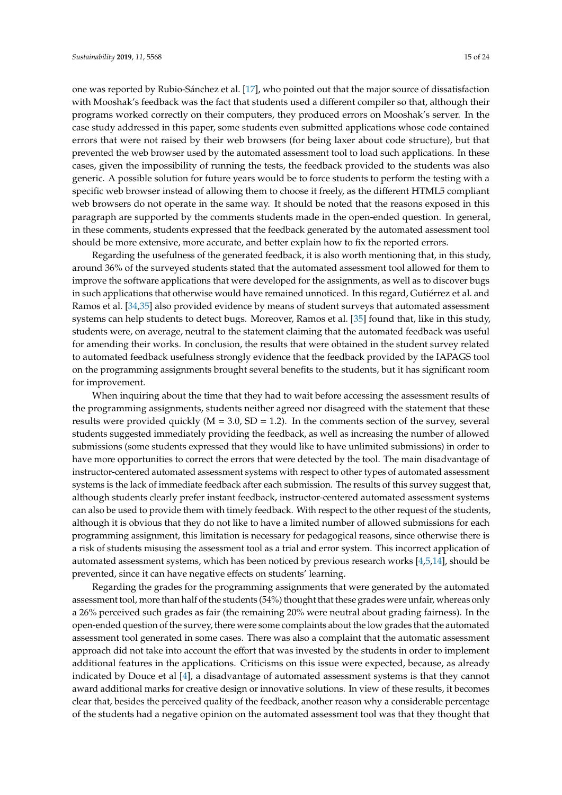one was reported by Rubio-Sánchez et al. [\[17\]](#page-22-6), who pointed out that the major source of dissatisfaction with Mooshak's feedback was the fact that students used a different compiler so that, although their programs worked correctly on their computers, they produced errors on Mooshak's server. In the case study addressed in this paper, some students even submitted applications whose code contained errors that were not raised by their web browsers (for being laxer about code structure), but that prevented the web browser used by the automated assessment tool to load such applications. In these cases, given the impossibility of running the tests, the feedback provided to the students was also generic. A possible solution for future years would be to force students to perform the testing with a specific web browser instead of allowing them to choose it freely, as the different HTML5 compliant web browsers do not operate in the same way. It should be noted that the reasons exposed in this paragraph are supported by the comments students made in the open-ended question. In general, in these comments, students expressed that the feedback generated by the automated assessment tool should be more extensive, more accurate, and better explain how to fix the reported errors.

Regarding the usefulness of the generated feedback, it is also worth mentioning that, in this study, around 36% of the surveyed students stated that the automated assessment tool allowed for them to improve the software applications that were developed for the assignments, as well as to discover bugs in such applications that otherwise would have remained unnoticed. In this regard, Gutiérrez et al. and Ramos et al. [\[34](#page-23-4)[,35\]](#page-23-5) also provided evidence by means of student surveys that automated assessment systems can help students to detect bugs. Moreover, Ramos et al. [\[35\]](#page-23-5) found that, like in this study, students were, on average, neutral to the statement claiming that the automated feedback was useful for amending their works. In conclusion, the results that were obtained in the student survey related to automated feedback usefulness strongly evidence that the feedback provided by the IAPAGS tool on the programming assignments brought several benefits to the students, but it has significant room for improvement.

When inquiring about the time that they had to wait before accessing the assessment results of the programming assignments, students neither agreed nor disagreed with the statement that these results were provided quickly  $(M = 3.0, SD = 1.2)$ . In the comments section of the survey, several students suggested immediately providing the feedback, as well as increasing the number of allowed submissions (some students expressed that they would like to have unlimited submissions) in order to have more opportunities to correct the errors that were detected by the tool. The main disadvantage of instructor-centered automated assessment systems with respect to other types of automated assessment systems is the lack of immediate feedback after each submission. The results of this survey suggest that, although students clearly prefer instant feedback, instructor-centered automated assessment systems can also be used to provide them with timely feedback. With respect to the other request of the students, although it is obvious that they do not like to have a limited number of allowed submissions for each programming assignment, this limitation is necessary for pedagogical reasons, since otherwise there is a risk of students misusing the assessment tool as a trial and error system. This incorrect application of automated assessment systems, which has been noticed by previous research works [\[4](#page-21-3)[,5](#page-21-4)[,14\]](#page-22-3), should be prevented, since it can have negative effects on students' learning.

Regarding the grades for the programming assignments that were generated by the automated assessment tool, more than half of the students (54%) thought that these grades were unfair, whereas only a 26% perceived such grades as fair (the remaining 20% were neutral about grading fairness). In the open-ended question of the survey, there were some complaints about the low grades that the automated assessment tool generated in some cases. There was also a complaint that the automatic assessment approach did not take into account the effort that was invested by the students in order to implement additional features in the applications. Criticisms on this issue were expected, because, as already indicated by Douce et al [\[4\]](#page-21-3), a disadvantage of automated assessment systems is that they cannot award additional marks for creative design or innovative solutions. In view of these results, it becomes clear that, besides the perceived quality of the feedback, another reason why a considerable percentage of the students had a negative opinion on the automated assessment tool was that they thought that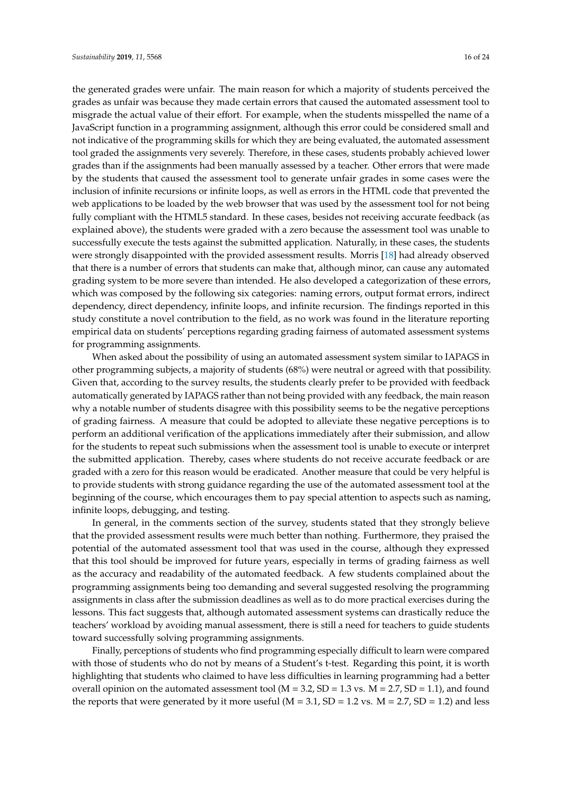the generated grades were unfair. The main reason for which a majority of students perceived the grades as unfair was because they made certain errors that caused the automated assessment tool to misgrade the actual value of their effort. For example, when the students misspelled the name of a JavaScript function in a programming assignment, although this error could be considered small and not indicative of the programming skills for which they are being evaluated, the automated assessment tool graded the assignments very severely. Therefore, in these cases, students probably achieved lower grades than if the assignments had been manually assessed by a teacher. Other errors that were made by the students that caused the assessment tool to generate unfair grades in some cases were the inclusion of infinite recursions or infinite loops, as well as errors in the HTML code that prevented the web applications to be loaded by the web browser that was used by the assessment tool for not being fully compliant with the HTML5 standard. In these cases, besides not receiving accurate feedback (as explained above), the students were graded with a zero because the assessment tool was unable to successfully execute the tests against the submitted application. Naturally, in these cases, the students were strongly disappointed with the provided assessment results. Morris [\[18\]](#page-22-7) had already observed that there is a number of errors that students can make that, although minor, can cause any automated grading system to be more severe than intended. He also developed a categorization of these errors, which was composed by the following six categories: naming errors, output format errors, indirect dependency, direct dependency, infinite loops, and infinite recursion. The findings reported in this study constitute a novel contribution to the field, as no work was found in the literature reporting empirical data on students' perceptions regarding grading fairness of automated assessment systems for programming assignments.

When asked about the possibility of using an automated assessment system similar to IAPAGS in other programming subjects, a majority of students (68%) were neutral or agreed with that possibility. Given that, according to the survey results, the students clearly prefer to be provided with feedback automatically generated by IAPAGS rather than not being provided with any feedback, the main reason why a notable number of students disagree with this possibility seems to be the negative perceptions of grading fairness. A measure that could be adopted to alleviate these negative perceptions is to perform an additional verification of the applications immediately after their submission, and allow for the students to repeat such submissions when the assessment tool is unable to execute or interpret the submitted application. Thereby, cases where students do not receive accurate feedback or are graded with a zero for this reason would be eradicated. Another measure that could be very helpful is to provide students with strong guidance regarding the use of the automated assessment tool at the beginning of the course, which encourages them to pay special attention to aspects such as naming, infinite loops, debugging, and testing.

In general, in the comments section of the survey, students stated that they strongly believe that the provided assessment results were much better than nothing. Furthermore, they praised the potential of the automated assessment tool that was used in the course, although they expressed that this tool should be improved for future years, especially in terms of grading fairness as well as the accuracy and readability of the automated feedback. A few students complained about the programming assignments being too demanding and several suggested resolving the programming assignments in class after the submission deadlines as well as to do more practical exercises during the lessons. This fact suggests that, although automated assessment systems can drastically reduce the teachers' workload by avoiding manual assessment, there is still a need for teachers to guide students toward successfully solving programming assignments.

Finally, perceptions of students who find programming especially difficult to learn were compared with those of students who do not by means of a Student's t-test. Regarding this point, it is worth highlighting that students who claimed to have less difficulties in learning programming had a better overall opinion on the automated assessment tool ( $M = 3.2$ ,  $SD = 1.3$  vs.  $M = 2.7$ ,  $SD = 1.1$ ), and found the reports that were generated by it more useful  $(M = 3.1, SD = 1.2$  vs.  $M = 2.7, SD = 1.2$ ) and less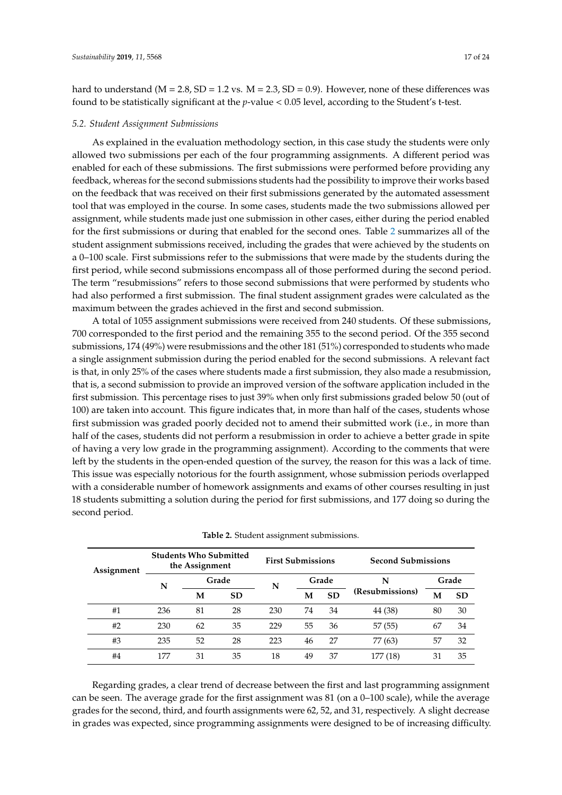hard to understand ( $M = 2.8$ ,  $SD = 1.2$  vs.  $M = 2.3$ ,  $SD = 0.9$ ). However, none of these differences was found to be statistically significant at the *p*-value < 0.05 level, according to the Student's t-test.

#### *5.2. Student Assignment Submissions*

As explained in the evaluation methodology section, in this case study the students were only allowed two submissions per each of the four programming assignments. A different period was enabled for each of these submissions. The first submissions were performed before providing any feedback, whereas for the second submissions students had the possibility to improve their works based on the feedback that was received on their first submissions generated by the automated assessment tool that was employed in the course. In some cases, students made the two submissions allowed per assignment, while students made just one submission in other cases, either during the period enabled for the first submissions or during that enabled for the second ones. Table [2](#page-16-0) summarizes all of the student assignment submissions received, including the grades that were achieved by the students on a 0–100 scale. First submissions refer to the submissions that were made by the students during the first period, while second submissions encompass all of those performed during the second period. The term "resubmissions" refers to those second submissions that were performed by students who had also performed a first submission. The final student assignment grades were calculated as the maximum between the grades achieved in the first and second submission.

A total of 1055 assignment submissions were received from 240 students. Of these submissions, 700 corresponded to the first period and the remaining 355 to the second period. Of the 355 second submissions, 174 (49%) were resubmissions and the other 181 (51%) corresponded to students who made a single assignment submission during the period enabled for the second submissions. A relevant fact is that, in only 25% of the cases where students made a first submission, they also made a resubmission, that is, a second submission to provide an improved version of the software application included in the first submission. This percentage rises to just 39% when only first submissions graded below 50 (out of 100) are taken into account. This figure indicates that, in more than half of the cases, students whose first submission was graded poorly decided not to amend their submitted work (i.e., in more than half of the cases, students did not perform a resubmission in order to achieve a better grade in spite of having a very low grade in the programming assignment). According to the comments that were left by the students in the open-ended question of the survey, the reason for this was a lack of time. This issue was especially notorious for the fourth assignment, whose submission periods overlapped with a considerable number of homework assignments and exams of other courses resulting in just 18 students submitting a solution during the period for first submissions, and 177 doing so during the second period.

<span id="page-16-0"></span>

| Assignment | <b>Students Who Submitted</b><br>the Assignment |       |           | <b>First Submissions</b> |       |           | <b>Second Submissions</b> |       |           |
|------------|-------------------------------------------------|-------|-----------|--------------------------|-------|-----------|---------------------------|-------|-----------|
|            | N                                               | Grade |           | N                        | Grade |           | N                         | Grade |           |
|            |                                                 | M     | <b>SD</b> |                          | M     | <b>SD</b> | (Resubmissions)           | M     | <b>SD</b> |
| #1         | 236                                             | 81    | 28        | 230                      | 74    | 34        | 44 (38)                   | 80    | 30        |
| #2         | 230                                             | 62    | 35        | 229                      | 55    | 36        | 57 (55)                   | 67    | 34        |
| #3         | 235                                             | 52    | 28        | 223                      | 46    | 27        | 77 (63)                   | 57    | 32        |
| #4         | 177                                             | 31    | 35        | 18                       | 49    | 37        | 177 (18)                  | 31    | 35        |

**Table 2.** Student assignment submissions.

Regarding grades, a clear trend of decrease between the first and last programming assignment can be seen. The average grade for the first assignment was 81 (on a 0–100 scale), while the average grades for the second, third, and fourth assignments were 62, 52, and 31, respectively. A slight decrease in grades was expected, since programming assignments were designed to be of increasing difficulty.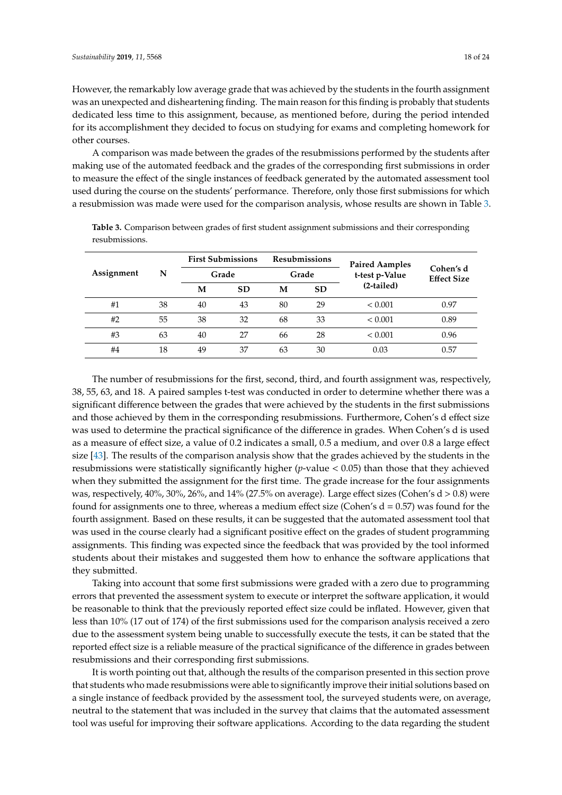However, the remarkably low average grade that was achieved by the students in the fourth assignment was an unexpected and disheartening finding. The main reason for this finding is probably that students dedicated less time to this assignment, because, as mentioned before, during the period intended for its accomplishment they decided to focus on studying for exams and completing homework for other courses.

A comparison was made between the grades of the resubmissions performed by the students after making use of the automated feedback and the grades of the corresponding first submissions in order to measure the effect of the single instances of feedback generated by the automated assessment tool used during the course on the students' performance. Therefore, only those first submissions for which a resubmission was made were used for the comparison analysis, whose results are shown in Table [3.](#page-17-0)

| Assignment | N  | <b>First Submissions</b><br>Grade |    | <b>Resubmissions</b><br>Grade |    | <b>Paired Aamples</b><br>t-test p-Value | Cohen's d<br><b>Effect Size</b> |
|------------|----|-----------------------------------|----|-------------------------------|----|-----------------------------------------|---------------------------------|
|            |    |                                   |    |                               |    |                                         |                                 |
|            |    | #1                                | 38 | 40                            | 43 | 80                                      | 29                              |
| #2         | 55 | 38                                | 32 | 68                            | 33 | < 0.001                                 | 0.89                            |
| #3         | 63 | 40                                | 27 | 66                            | 28 | < 0.001                                 | 0.96                            |
| #4         | 18 | 49                                | 37 | 63                            | 30 | 0.03                                    | 0.57                            |

<span id="page-17-0"></span>**Table 3.** Comparison between grades of first student assignment submissions and their corresponding resubmissions.

The number of resubmissions for the first, second, third, and fourth assignment was, respectively, 38, 55, 63, and 18. A paired samples t-test was conducted in order to determine whether there was a significant difference between the grades that were achieved by the students in the first submissions and those achieved by them in the corresponding resubmissions. Furthermore, Cohen's d effect size was used to determine the practical significance of the difference in grades. When Cohen's d is used as a measure of effect size, a value of 0.2 indicates a small, 0.5 a medium, and over 0.8 a large effect size [\[43\]](#page-23-13). The results of the comparison analysis show that the grades achieved by the students in the resubmissions were statistically significantly higher (*p*-value < 0.05) than those that they achieved when they submitted the assignment for the first time. The grade increase for the four assignments was, respectively,  $40\%$ ,  $30\%$ ,  $26\%$ , and  $14\%$  (27.5% on average). Large effect sizes (Cohen's d > 0.8) were found for assignments one to three, whereas a medium effect size (Cohen's  $d = 0.57$ ) was found for the fourth assignment. Based on these results, it can be suggested that the automated assessment tool that was used in the course clearly had a significant positive effect on the grades of student programming assignments. This finding was expected since the feedback that was provided by the tool informed students about their mistakes and suggested them how to enhance the software applications that they submitted.

Taking into account that some first submissions were graded with a zero due to programming errors that prevented the assessment system to execute or interpret the software application, it would be reasonable to think that the previously reported effect size could be inflated. However, given that less than 10% (17 out of 174) of the first submissions used for the comparison analysis received a zero due to the assessment system being unable to successfully execute the tests, it can be stated that the reported effect size is a reliable measure of the practical significance of the difference in grades between resubmissions and their corresponding first submissions.

It is worth pointing out that, although the results of the comparison presented in this section prove that students who made resubmissions were able to significantly improve their initial solutions based on a single instance of feedback provided by the assessment tool, the surveyed students were, on average, neutral to the statement that was included in the survey that claims that the automated assessment tool was useful for improving their software applications. According to the data regarding the student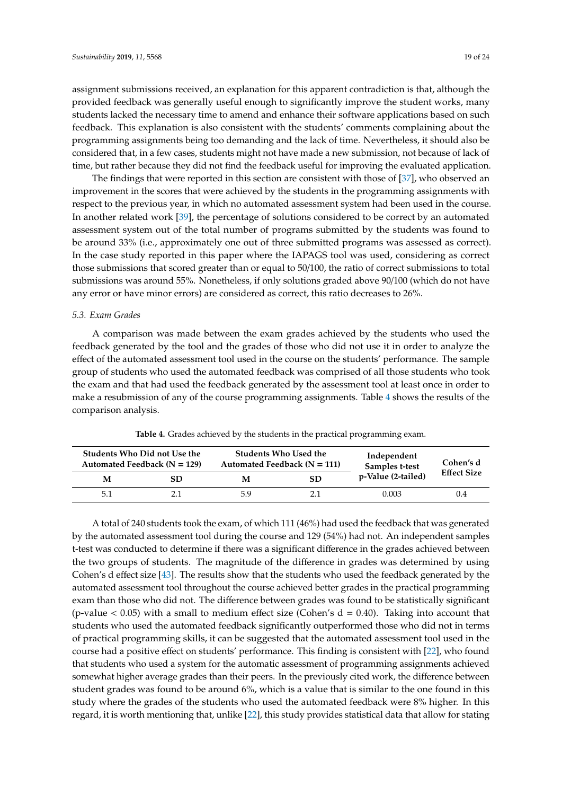assignment submissions received, an explanation for this apparent contradiction is that, although the provided feedback was generally useful enough to significantly improve the student works, many students lacked the necessary time to amend and enhance their software applications based on such feedback. This explanation is also consistent with the students' comments complaining about the programming assignments being too demanding and the lack of time. Nevertheless, it should also be considered that, in a few cases, students might not have made a new submission, not because of lack of time, but rather because they did not find the feedback useful for improving the evaluated application.

The findings that were reported in this section are consistent with those of [\[37\]](#page-23-7), who observed an improvement in the scores that were achieved by the students in the programming assignments with respect to the previous year, in which no automated assessment system had been used in the course. In another related work [\[39\]](#page-23-9), the percentage of solutions considered to be correct by an automated assessment system out of the total number of programs submitted by the students was found to be around 33% (i.e., approximately one out of three submitted programs was assessed as correct). In the case study reported in this paper where the IAPAGS tool was used, considering as correct those submissions that scored greater than or equal to 50/100, the ratio of correct submissions to total submissions was around 55%. Nonetheless, if only solutions graded above 90/100 (which do not have any error or have minor errors) are considered as correct, this ratio decreases to 26%.

## *5.3. Exam Grades*

A comparison was made between the exam grades achieved by the students who used the feedback generated by the tool and the grades of those who did not use it in order to analyze the effect of the automated assessment tool used in the course on the students' performance. The sample group of students who used the automated feedback was comprised of all those students who took the exam and that had used the feedback generated by the assessment tool at least once in order to make a resubmission of any of the course programming assignments. Table [4](#page-18-0) shows the results of the comparison analysis.

<span id="page-18-0"></span>

| Automated Feedback ( $N = 129$ ) | <b>Students Who Did not Use the</b> |    | <b>Students Who Used the</b><br>Automated Feedback ( $N = 111$ ) | Independent<br>Samples t-test | Cohen's d<br><b>Effect Size</b> |  |
|----------------------------------|-------------------------------------|----|------------------------------------------------------------------|-------------------------------|---------------------------------|--|
| М                                | SD                                  | м  | <b>SD</b>                                                        | p-Value (2-tailed)            |                                 |  |
| 5.1                              |                                     | 59 |                                                                  | 0.003                         | 0.4                             |  |

**Table 4.** Grades achieved by the students in the practical programming exam.

A total of 240 students took the exam, of which 111 (46%) had used the feedback that was generated by the automated assessment tool during the course and 129 (54%) had not. An independent samples t-test was conducted to determine if there was a significant difference in the grades achieved between the two groups of students. The magnitude of the difference in grades was determined by using Cohen's d effect size [\[43\]](#page-23-13). The results show that the students who used the feedback generated by the automated assessment tool throughout the course achieved better grades in the practical programming exam than those who did not. The difference between grades was found to be statistically significant (p-value  $< 0.05$ ) with a small to medium effect size (Cohen's  $d = 0.40$ ). Taking into account that students who used the automated feedback significantly outperformed those who did not in terms of practical programming skills, it can be suggested that the automated assessment tool used in the course had a positive effect on students' performance. This finding is consistent with [\[22\]](#page-22-13), who found that students who used a system for the automatic assessment of programming assignments achieved somewhat higher average grades than their peers. In the previously cited work, the difference between student grades was found to be around 6%, which is a value that is similar to the one found in this study where the grades of the students who used the automated feedback were 8% higher. In this regard, it is worth mentioning that, unlike [\[22\]](#page-22-13), this study provides statistical data that allow for stating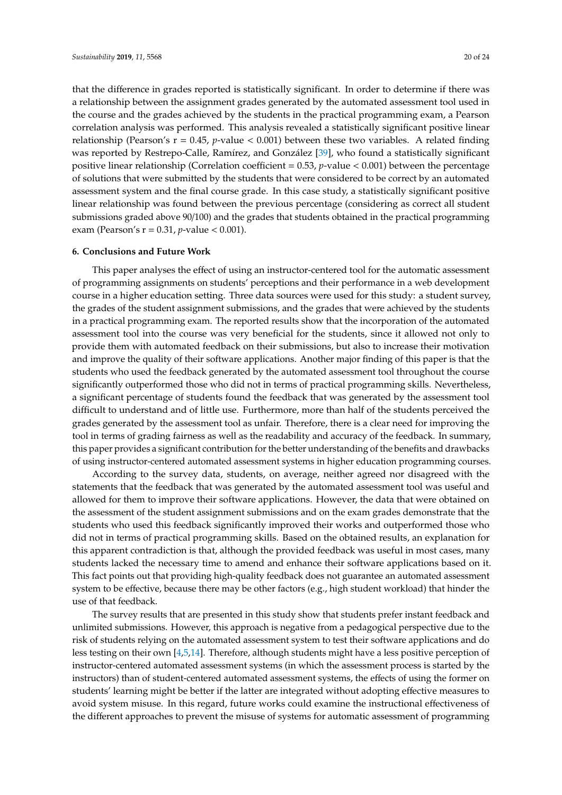that the difference in grades reported is statistically significant. In order to determine if there was a relationship between the assignment grades generated by the automated assessment tool used in the course and the grades achieved by the students in the practical programming exam, a Pearson correlation analysis was performed. This analysis revealed a statistically significant positive linear relationship (Pearson's  $r = 0.45$ , *p*-value < 0.001) between these two variables. A related finding was reported by Restrepo-Calle, Ramírez, and González [\[39\]](#page-23-9), who found a statistically significant positive linear relationship (Correlation coefficient = 0.53, *p*-value < 0.001) between the percentage of solutions that were submitted by the students that were considered to be correct by an automated assessment system and the final course grade. In this case study, a statistically significant positive linear relationship was found between the previous percentage (considering as correct all student submissions graded above 90/100) and the grades that students obtained in the practical programming exam (Pearson's r = 0.31, *p*-value < 0.001).

#### **6. Conclusions and Future Work**

This paper analyses the effect of using an instructor-centered tool for the automatic assessment of programming assignments on students' perceptions and their performance in a web development course in a higher education setting. Three data sources were used for this study: a student survey, the grades of the student assignment submissions, and the grades that were achieved by the students in a practical programming exam. The reported results show that the incorporation of the automated assessment tool into the course was very beneficial for the students, since it allowed not only to provide them with automated feedback on their submissions, but also to increase their motivation and improve the quality of their software applications. Another major finding of this paper is that the students who used the feedback generated by the automated assessment tool throughout the course significantly outperformed those who did not in terms of practical programming skills. Nevertheless, a significant percentage of students found the feedback that was generated by the assessment tool difficult to understand and of little use. Furthermore, more than half of the students perceived the grades generated by the assessment tool as unfair. Therefore, there is a clear need for improving the tool in terms of grading fairness as well as the readability and accuracy of the feedback. In summary, this paper provides a significant contribution for the better understanding of the benefits and drawbacks of using instructor-centered automated assessment systems in higher education programming courses.

According to the survey data, students, on average, neither agreed nor disagreed with the statements that the feedback that was generated by the automated assessment tool was useful and allowed for them to improve their software applications. However, the data that were obtained on the assessment of the student assignment submissions and on the exam grades demonstrate that the students who used this feedback significantly improved their works and outperformed those who did not in terms of practical programming skills. Based on the obtained results, an explanation for this apparent contradiction is that, although the provided feedback was useful in most cases, many students lacked the necessary time to amend and enhance their software applications based on it. This fact points out that providing high-quality feedback does not guarantee an automated assessment system to be effective, because there may be other factors (e.g., high student workload) that hinder the use of that feedback.

The survey results that are presented in this study show that students prefer instant feedback and unlimited submissions. However, this approach is negative from a pedagogical perspective due to the risk of students relying on the automated assessment system to test their software applications and do less testing on their own [\[4,](#page-21-3)[5](#page-21-4)[,14\]](#page-22-3). Therefore, although students might have a less positive perception of instructor-centered automated assessment systems (in which the assessment process is started by the instructors) than of student-centered automated assessment systems, the effects of using the former on students' learning might be better if the latter are integrated without adopting effective measures to avoid system misuse. In this regard, future works could examine the instructional effectiveness of the different approaches to prevent the misuse of systems for automatic assessment of programming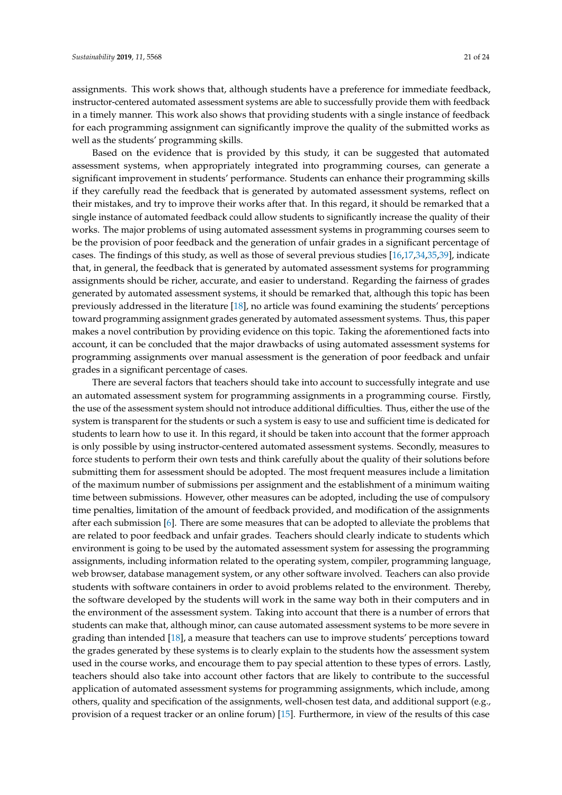assignments. This work shows that, although students have a preference for immediate feedback, instructor-centered automated assessment systems are able to successfully provide them with feedback in a timely manner. This work also shows that providing students with a single instance of feedback for each programming assignment can significantly improve the quality of the submitted works as well as the students' programming skills.

Based on the evidence that is provided by this study, it can be suggested that automated assessment systems, when appropriately integrated into programming courses, can generate a significant improvement in students' performance. Students can enhance their programming skills if they carefully read the feedback that is generated by automated assessment systems, reflect on their mistakes, and try to improve their works after that. In this regard, it should be remarked that a single instance of automated feedback could allow students to significantly increase the quality of their works. The major problems of using automated assessment systems in programming courses seem to be the provision of poor feedback and the generation of unfair grades in a significant percentage of cases. The findings of this study, as well as those of several previous studies [\[16,](#page-22-5)[17,](#page-22-6)[34,](#page-23-4)[35](#page-23-5)[,39\]](#page-23-9), indicate that, in general, the feedback that is generated by automated assessment systems for programming assignments should be richer, accurate, and easier to understand. Regarding the fairness of grades generated by automated assessment systems, it should be remarked that, although this topic has been previously addressed in the literature [\[18\]](#page-22-7), no article was found examining the students' perceptions toward programming assignment grades generated by automated assessment systems. Thus, this paper makes a novel contribution by providing evidence on this topic. Taking the aforementioned facts into account, it can be concluded that the major drawbacks of using automated assessment systems for programming assignments over manual assessment is the generation of poor feedback and unfair grades in a significant percentage of cases.

There are several factors that teachers should take into account to successfully integrate and use an automated assessment system for programming assignments in a programming course. Firstly, the use of the assessment system should not introduce additional difficulties. Thus, either the use of the system is transparent for the students or such a system is easy to use and sufficient time is dedicated for students to learn how to use it. In this regard, it should be taken into account that the former approach is only possible by using instructor-centered automated assessment systems. Secondly, measures to force students to perform their own tests and think carefully about the quality of their solutions before submitting them for assessment should be adopted. The most frequent measures include a limitation of the maximum number of submissions per assignment and the establishment of a minimum waiting time between submissions. However, other measures can be adopted, including the use of compulsory time penalties, limitation of the amount of feedback provided, and modification of the assignments after each submission [\[6\]](#page-21-5). There are some measures that can be adopted to alleviate the problems that are related to poor feedback and unfair grades. Teachers should clearly indicate to students which environment is going to be used by the automated assessment system for assessing the programming assignments, including information related to the operating system, compiler, programming language, web browser, database management system, or any other software involved. Teachers can also provide students with software containers in order to avoid problems related to the environment. Thereby, the software developed by the students will work in the same way both in their computers and in the environment of the assessment system. Taking into account that there is a number of errors that students can make that, although minor, can cause automated assessment systems to be more severe in grading than intended [\[18\]](#page-22-7), a measure that teachers can use to improve students' perceptions toward the grades generated by these systems is to clearly explain to the students how the assessment system used in the course works, and encourage them to pay special attention to these types of errors. Lastly, teachers should also take into account other factors that are likely to contribute to the successful application of automated assessment systems for programming assignments, which include, among others, quality and specification of the assignments, well-chosen test data, and additional support (e.g., provision of a request tracker or an online forum) [\[15\]](#page-22-4). Furthermore, in view of the results of this case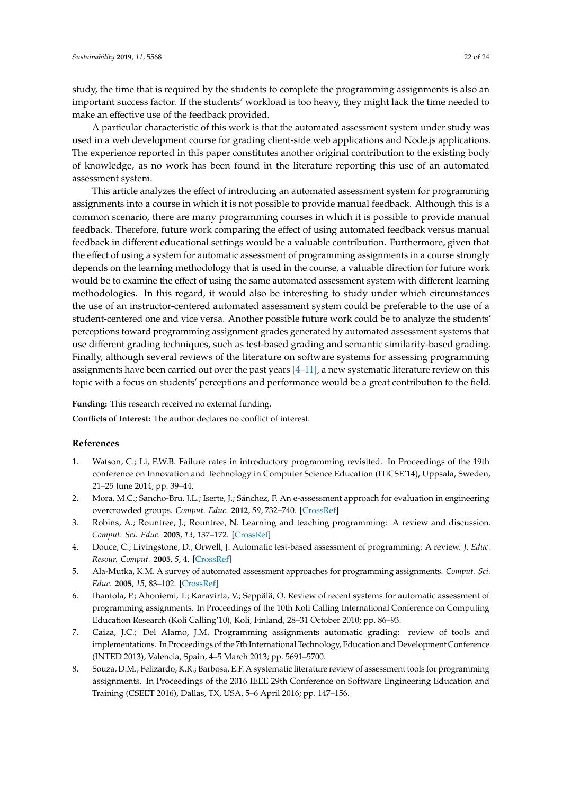study, the time that is required by the students to complete the programming assignments is also an important success factor. If the students' workload is too heavy, they might lack the time needed to make an effective use of the feedback provided.

A particular characteristic of this work is that the automated assessment system under study was used in a web development course for grading client-side web applications and Node.js applications. The experience reported in this paper constitutes another original contribution to the existing body of knowledge, as no work has been found in the literature reporting this use of an automated assessment system.

This article analyzes the effect of introducing an automated assessment system for programming assignments into a course in which it is not possible to provide manual feedback. Although this is a common scenario, there are many programming courses in which it is possible to provide manual feedback. Therefore, future work comparing the effect of using automated feedback versus manual feedback in different educational settings would be a valuable contribution. Furthermore, given that the effect of using a system for automatic assessment of programming assignments in a course strongly depends on the learning methodology that is used in the course, a valuable direction for future work would be to examine the effect of using the same automated assessment system with different learning methodologies. In this regard, it would also be interesting to study under which circumstances the use of an instructor-centered automated assessment system could be preferable to the use of a student-centered one and vice versa. Another possible future work could be to analyze the students' perceptions toward programming assignment grades generated by automated assessment systems that use different grading techniques, such as test-based grading and semantic similarity-based grading. Finally, although several reviews of the literature on software systems for assessing programming assignments have been carried out over the past years [\[4–](#page-21-3)[11\]](#page-22-0), a new systematic literature review on this topic with a focus on students' perceptions and performance would be a great contribution to the field.

**Funding:** This research received no external funding.

**Conflicts of Interest:** The author declares no conflict of interest.

# **References**

- <span id="page-21-0"></span>1. Watson, C.; Li, F.W.B. Failure rates in introductory programming revisited. In Proceedings of the 19th conference on Innovation and Technology in Computer Science Education (ITiCSE'14), Uppsala, Sweden, 21–25 June 2014; pp. 39–44.
- <span id="page-21-1"></span>2. Mora, M.C.; Sancho-Bru, J.L.; Iserte, J.; Sánchez, F. An e-assessment approach for evaluation in engineering overcrowded groups. *Comput. Educ.* **2012**, *59*, 732–740. [\[CrossRef\]](http://dx.doi.org/10.1016/j.compedu.2012.03.011)
- <span id="page-21-2"></span>3. Robins, A.; Rountree, J.; Rountree, N. Learning and teaching programming: A review and discussion. *Comput. Sci. Educ.* **2003**, *13*, 137–172. [\[CrossRef\]](http://dx.doi.org/10.1076/csed.13.2.137.14200)
- <span id="page-21-3"></span>4. Douce, C.; Livingstone, D.; Orwell, J. Automatic test-based assessment of programming: A review. *J. Educ. Resour. Comput.* **2005**, *5*, 4. [\[CrossRef\]](http://dx.doi.org/10.1145/1163405.1163409)
- <span id="page-21-4"></span>5. Ala-Mutka, K.M. A survey of automated assessment approaches for programming assignments. *Comput. Sci. Educ.* **2005**, *15*, 83–102. [\[CrossRef\]](http://dx.doi.org/10.1080/08993400500150747)
- <span id="page-21-5"></span>6. Ihantola, P.; Ahoniemi, T.; Karavirta, V.; Seppälä, O. Review of recent systems for automatic assessment of programming assignments. In Proceedings of the 10th Koli Calling International Conference on Computing Education Research (Koli Calling'10), Koli, Finland, 28–31 October 2010; pp. 86–93.
- <span id="page-21-7"></span>7. Caiza, J.C.; Del Alamo, J.M. Programming assignments automatic grading: review of tools and implementations. In Proceedings of the 7th International Technology, Education and Development Conference (INTED 2013), Valencia, Spain, 4–5 March 2013; pp. 5691–5700.
- <span id="page-21-6"></span>8. Souza, D.M.; Felizardo, K.R.; Barbosa, E.F. A systematic literature review of assessment tools for programming assignments. In Proceedings of the 2016 IEEE 29th Conference on Software Engineering Education and Training (CSEET 2016), Dallas, TX, USA, 5–6 April 2016; pp. 147–156.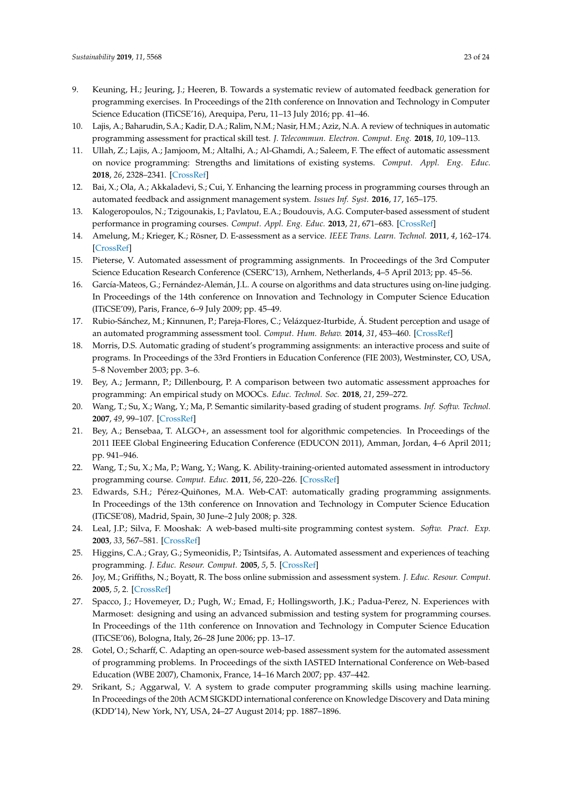- <span id="page-22-11"></span>9. Keuning, H.; Jeuring, J.; Heeren, B. Towards a systematic review of automated feedback generation for programming exercises. In Proceedings of the 21th conference on Innovation and Technology in Computer Science Education (ITiCSE'16), Arequipa, Peru, 11–13 July 2016; pp. 41–46.
- <span id="page-22-12"></span>10. Lajis, A.; Baharudin, S.A.; Kadir, D.A.; Ralim, N.M.; Nasir, H.M.; Aziz, N.A. A review of techniques in automatic programming assessment for practical skill test. *J. Telecommun. Electron. Comput. Eng.* **2018**, *10*, 109–113.
- <span id="page-22-0"></span>11. Ullah, Z.; Lajis, A.; Jamjoom, M.; Altalhi, A.; Al-Ghamdi, A.; Saleem, F. The effect of automatic assessment on novice programming: Strengths and limitations of existing systems. *Comput. Appl. Eng. Educ.* **2018**, *26*, 2328–2341. [\[CrossRef\]](http://dx.doi.org/10.1002/cae.21974)
- <span id="page-22-1"></span>12. Bai, X.; Ola, A.; Akkaladevi, S.; Cui, Y. Enhancing the learning process in programming courses through an automated feedback and assignment management system. *Issues Inf. Syst.* **2016**, *17*, 165–175.
- <span id="page-22-2"></span>13. Kalogeropoulos, N.; Tzigounakis, I.; Pavlatou, E.A.; Boudouvis, A.G. Computer-based assessment of student performance in programing courses. *Comput. Appl. Eng. Educ.* **2013**, *21*, 671–683. [\[CrossRef\]](http://dx.doi.org/10.1002/cae.20512)
- <span id="page-22-3"></span>14. Amelung, M.; Krieger, K.; Rösner, D. E-assessment as a service. *IEEE Trans. Learn. Technol.* **2011**, *4*, 162–174. [\[CrossRef\]](http://dx.doi.org/10.1109/TLT.2010.24)
- <span id="page-22-4"></span>15. Pieterse, V. Automated assessment of programming assignments. In Proceedings of the 3rd Computer Science Education Research Conference (CSERC'13), Arnhem, Netherlands, 4–5 April 2013; pp. 45–56.
- <span id="page-22-5"></span>16. García-Mateos, G.; Fernández-Alemán, J.L. A course on algorithms and data structures using on-line judging. In Proceedings of the 14th conference on Innovation and Technology in Computer Science Education (ITiCSE'09), Paris, France, 6–9 July 2009; pp. 45–49.
- <span id="page-22-6"></span>17. Rubio-Sánchez, M.; Kinnunen, P.; Pareja-Flores, C.; Velázquez-Iturbide, Á. Student perception and usage of an automated programming assessment tool. *Comput. Hum. Behav.* **2014**, *31*, 453–460. [\[CrossRef\]](http://dx.doi.org/10.1016/j.chb.2013.04.001)
- <span id="page-22-7"></span>18. Morris, D.S. Automatic grading of student's programming assignments: an interactive process and suite of programs. In Proceedings of the 33rd Frontiers in Education Conference (FIE 2003), Westminster, CO, USA, 5–8 November 2003; pp. 3–6.
- <span id="page-22-8"></span>19. Bey, A.; Jermann, P.; Dillenbourg, P. A comparison between two automatic assessment approaches for programming: An empirical study on MOOCs. *Educ. Technol. Soc.* **2018**, *21*, 259–272.
- <span id="page-22-9"></span>20. Wang, T.; Su, X.; Wang, Y.; Ma, P. Semantic similarity-based grading of student programs. *Inf. Softw. Technol.* **2007**, *49*, 99–107. [\[CrossRef\]](http://dx.doi.org/10.1016/j.infsof.2006.03.001)
- <span id="page-22-10"></span>21. Bey, A.; Bensebaa, T. ALGO+, an assessment tool for algorithmic competencies. In Proceedings of the 2011 IEEE Global Engineering Education Conference (EDUCON 2011), Amman, Jordan, 4–6 April 2011; pp. 941–946.
- <span id="page-22-13"></span>22. Wang, T.; Su, X.; Ma, P.; Wang, Y.; Wang, K. Ability-training-oriented automated assessment in introductory programming course. *Comput. Educ.* **2011**, *56*, 220–226. [\[CrossRef\]](http://dx.doi.org/10.1016/j.compedu.2010.08.003)
- <span id="page-22-14"></span>23. Edwards, S.H.; Pérez-Quiñones, M.A. Web-CAT: automatically grading programming assignments. In Proceedings of the 13th conference on Innovation and Technology in Computer Science Education (ITiCSE'08), Madrid, Spain, 30 June–2 July 2008; p. 328.
- <span id="page-22-15"></span>24. Leal, J.P.; Silva, F. Mooshak: A web-based multi-site programming contest system. *Softw. Pract. Exp.* **2003**, *33*, 567–581. [\[CrossRef\]](http://dx.doi.org/10.1002/spe.522)
- <span id="page-22-16"></span>25. Higgins, C.A.; Gray, G.; Symeonidis, P.; Tsintsifas, A. Automated assessment and experiences of teaching programming. *J. Educ. Resour. Comput.* **2005**, *5*, 5. [\[CrossRef\]](http://dx.doi.org/10.1145/1163405.1163410)
- <span id="page-22-17"></span>26. Joy, M.; Griffiths, N.; Boyatt, R. The boss online submission and assessment system. *J. Educ. Resour. Comput.* **2005**, *5*, 2. [\[CrossRef\]](http://dx.doi.org/10.1145/1163405.1163407)
- <span id="page-22-18"></span>27. Spacco, J.; Hovemeyer, D.; Pugh, W.; Emad, F.; Hollingsworth, J.K.; Padua-Perez, N. Experiences with Marmoset: designing and using an advanced submission and testing system for programming courses. In Proceedings of the 11th conference on Innovation and Technology in Computer Science Education (ITiCSE'06), Bologna, Italy, 26–28 June 2006; pp. 13–17.
- <span id="page-22-19"></span>28. Gotel, O.; Scharff, C. Adapting an open-source web-based assessment system for the automated assessment of programming problems. In Proceedings of the sixth IASTED International Conference on Web-based Education (WBE 2007), Chamonix, France, 14–16 March 2007; pp. 437–442.
- <span id="page-22-20"></span>29. Srikant, S.; Aggarwal, V. A system to grade computer programming skills using machine learning. In Proceedings of the 20th ACM SIGKDD international conference on Knowledge Discovery and Data mining (KDD'14), New York, NY, USA, 24–27 August 2014; pp. 1887–1896.